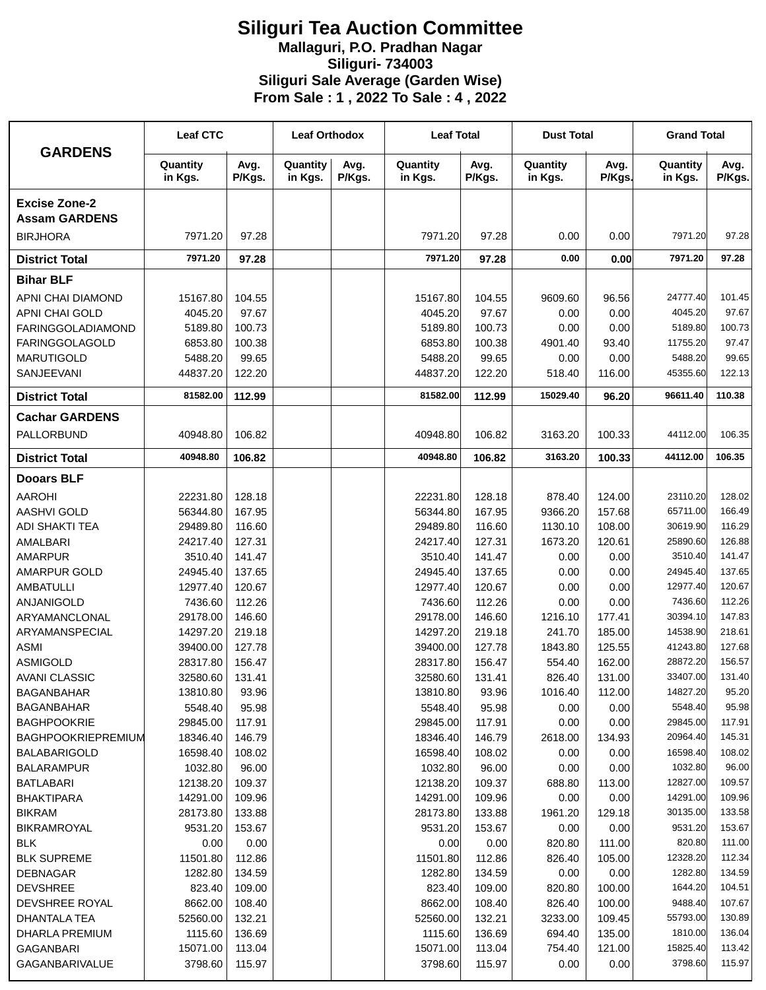## **Siliguri Tea Auction Committee Mallaguri, P.O. Pradhan Nagar Siliguri- 734003 Siliguri Sale Average (Garden Wise) From Sale : 1 , 2022 To Sale : 4 , 2022**

| <b>GARDENS</b>                          | <b>Leaf CTC</b>      |                  | <b>Leaf Orthodox</b> |                | <b>Leaf Total</b>    |                  | <b>Dust Total</b>   |                | <b>Grand Total</b>  |                 |
|-----------------------------------------|----------------------|------------------|----------------------|----------------|----------------------|------------------|---------------------|----------------|---------------------|-----------------|
|                                         | Quantity<br>in Kgs.  | Avg.<br>P/Kgs.   | Quantity<br>in Kgs.  | Avg.<br>P/Kgs. | Quantity<br>in Kgs.  | Avg.<br>P/Kgs.   | Quantity<br>in Kgs. | Avg.<br>P/Kgs. | Quantity<br>in Kgs. | Avg.<br>P/Kgs.  |
| <b>Excise Zone-2</b>                    |                      |                  |                      |                |                      |                  |                     |                |                     |                 |
| <b>Assam GARDENS</b><br><b>BIRJHORA</b> | 7971.20              | 97.28            |                      |                | 7971.20              | 97.28            | 0.00                | 0.00           | 7971.20             | 97.28           |
|                                         | 7971.20              | 97.28            |                      |                | 7971.20              | 97.28            | 0.00                | 0.00           | 7971.20             | 97.28           |
| <b>District Total</b>                   |                      |                  |                      |                |                      |                  |                     |                |                     |                 |
| <b>Bihar BLF</b>                        |                      |                  |                      |                |                      |                  |                     |                |                     |                 |
| APNI CHAI DIAMOND                       | 15167.80             | 104.55           |                      |                | 15167.80             | 104.55           | 9609.60             | 96.56          | 24777.40            | 101.45          |
| APNI CHAI GOLD                          | 4045.20              | 97.67            |                      |                | 4045.20              | 97.67            | 0.00                | 0.00           | 4045.20             | 97.67           |
| <b>FARINGGOLADIAMOND</b>                | 5189.80              | 100.73           |                      |                | 5189.80              | 100.73           | 0.00                | 0.00           | 5189.80             | 100.73          |
| <b>FARINGGOLAGOLD</b>                   | 6853.80              | 100.38           |                      |                | 6853.80              | 100.38           | 4901.40             | 93.40          | 11755.20            | 97.47           |
| <b>MARUTIGOLD</b>                       | 5488.20              | 99.65            |                      |                | 5488.20              | 99.65            | 0.00                | 0.00           | 5488.20             | 99.65           |
| <b>SANJEEVANI</b>                       | 44837.20             | 122.20           |                      |                | 44837.20             | 122.20           | 518.40              | 116.00         | 45355.60            | 122.13          |
| <b>District Total</b>                   | 81582.00             | 112.99           |                      |                | 81582.00             | 112.99           | 15029.40            | 96.20          | 96611.40            | 110.38          |
| <b>Cachar GARDENS</b>                   |                      |                  |                      |                |                      |                  |                     |                |                     |                 |
| PALLORBUND                              | 40948.80             | 106.82           |                      |                | 40948.80             | 106.82           | 3163.20             | 100.33         | 44112.00            | 106.35          |
| <b>District Total</b>                   | 40948.80             | 106.82           |                      |                | 40948.80             | 106.82           | 3163.20             | 100.33         | 44112.00            | 106.35          |
| <b>Dooars BLF</b>                       |                      |                  |                      |                |                      |                  |                     |                |                     |                 |
| <b>AAROHI</b>                           | 22231.80             | 128.18           |                      |                | 22231.80             | 128.18           | 878.40              | 124.00         | 23110.20            | 128.02          |
| <b>AASHVI GOLD</b>                      | 56344.80             | 167.95           |                      |                | 56344.80             | 167.95           | 9366.20             | 157.68         | 65711.00            | 166.49          |
| ADI SHAKTI TEA                          | 29489.80             | 116.60           |                      |                | 29489.80             | 116.60           | 1130.10             | 108.00         | 30619.90            | 116.29          |
| AMALBARI                                | 24217.40             | 127.31           |                      |                | 24217.40             | 127.31           | 1673.20             | 120.61         | 25890.60            | 126.88          |
| <b>AMARPUR</b>                          | 3510.40              | 141.47           |                      |                | 3510.40              | 141.47           | 0.00                | 0.00           | 3510.40             | 141.47          |
| AMARPUR GOLD                            | 24945.40             | 137.65           |                      |                | 24945.40             | 137.65           | 0.00                | 0.00           | 24945.40            | 137.65          |
| <b>AMBATULLI</b>                        | 12977.40             | 120.67           |                      |                | 12977.40             | 120.67           | 0.00                | 0.00           | 12977.40            | 120.67          |
| <b>ANJANIGOLD</b>                       | 7436.60              | 112.26           |                      |                | 7436.60              | 112.26           | 0.00                | 0.00           | 7436.60             | 112.26          |
| ARYAMANCLONAL                           | 29178.00             | 146.60           |                      |                | 29178.00             | 146.60           | 1216.10             | 177.41         | 30394.10            | 147.83          |
| ARYAMANSPECIAL                          | 14297.20             | 219.18           |                      |                | 14297.20             | 219.18           | 241.70              | 185.00         | 14538.90            | 218.61          |
| <b>ASMI</b>                             | 39400.00             | 127.78           |                      |                | 39400.00             | 127.78           | 1843.80             | 125.55         | 41243.80            | 127.68          |
| <b>ASMIGOLD</b>                         | 28317.80             | 156.47           |                      |                | 28317.80             | 156.47           | 554.40              | 162.00         | 28872.20            | 156.57          |
| <b>AVANI CLASSIC</b>                    | 32580.60             | 131.41           |                      |                | 32580.60             | 131.41           | 826.40              | 131.00         | 33407.00            | 131.40          |
| <b>BAGANBAHAR</b>                       | 13810.80             | 93.96            |                      |                | 13810.80             | 93.96            | 1016.40             | 112.00         | 14827.20            | 95.20           |
| <b>BAGANBAHAR</b>                       | 5548.40              | 95.98            |                      |                | 5548.40              | 95.98            | 0.00                | 0.00           | 5548.40             | 95.98           |
| <b>BAGHPOOKRIE</b>                      | 29845.00             | 117.91           |                      |                | 29845.00             | 117.91           | 0.00                | 0.00           | 29845.00            | 117.91          |
| <b>BAGHPOOKRIEPREMIUM</b>               | 18346.40             | 146.79           |                      |                | 18346.40             | 146.79           | 2618.00             | 134.93         | 20964.40            | 145.31          |
| <b>BALABARIGOLD</b>                     | 16598.40             | 108.02           |                      |                | 16598.40             | 108.02           | 0.00                | 0.00           | 16598.40            | 108.02          |
| <b>BALARAMPUR</b>                       | 1032.80              | 96.00            |                      |                | 1032.80              | 96.00            | 0.00                | 0.00           | 1032.80<br>12827.00 | 96.00<br>109.57 |
| <b>BATLABARI</b>                        | 12138.20             | 109.37           |                      |                | 12138.20             | 109.37           | 688.80              | 113.00         | 14291.00            | 109.96          |
| <b>BHAKTIPARA</b><br><b>BIKRAM</b>      | 14291.00<br>28173.80 | 109.96<br>133.88 |                      |                | 14291.00<br>28173.80 | 109.96<br>133.88 | 0.00<br>1961.20     | 0.00<br>129.18 | 30135.00            | 133.58          |
| BIKRAMROYAL                             | 9531.20              | 153.67           |                      |                | 9531.20              | 153.67           | 0.00                | 0.00           | 9531.20             | 153.67          |
| <b>BLK</b>                              | 0.00                 | 0.00             |                      |                | 0.00                 | 0.00             | 820.80              | 111.00         | 820.80              | 111.00          |
| <b>BLK SUPREME</b>                      | 11501.80             | 112.86           |                      |                | 11501.80             | 112.86           | 826.40              | 105.00         | 12328.20            | 112.34          |
| <b>DEBNAGAR</b>                         | 1282.80              | 134.59           |                      |                | 1282.80              | 134.59           | 0.00                | 0.00           | 1282.80             | 134.59          |
| <b>DEVSHREE</b>                         | 823.40               | 109.00           |                      |                | 823.40               | 109.00           | 820.80              | 100.00         | 1644.20             | 104.51          |
| DEVSHREE ROYAL                          | 8662.00              | 108.40           |                      |                | 8662.00              | 108.40           | 826.40              | 100.00         | 9488.40             | 107.67          |
| DHANTALA TEA                            | 52560.00             | 132.21           |                      |                | 52560.00             | 132.21           | 3233.00             | 109.45         | 55793.00            | 130.89          |
| DHARLA PREMIUM                          | 1115.60              | 136.69           |                      |                | 1115.60              | 136.69           | 694.40              | 135.00         | 1810.00             | 136.04          |
| <b>GAGANBARI</b>                        | 15071.00             | 113.04           |                      |                | 15071.00             | 113.04           | 754.40              | 121.00         | 15825.40            | 113.42          |
| GAGANBARIVALUE                          | 3798.60              | 115.97           |                      |                | 3798.60              | 115.97           | 0.00                | 0.00           | 3798.60             | 115.97          |
|                                         |                      |                  |                      |                |                      |                  |                     |                |                     |                 |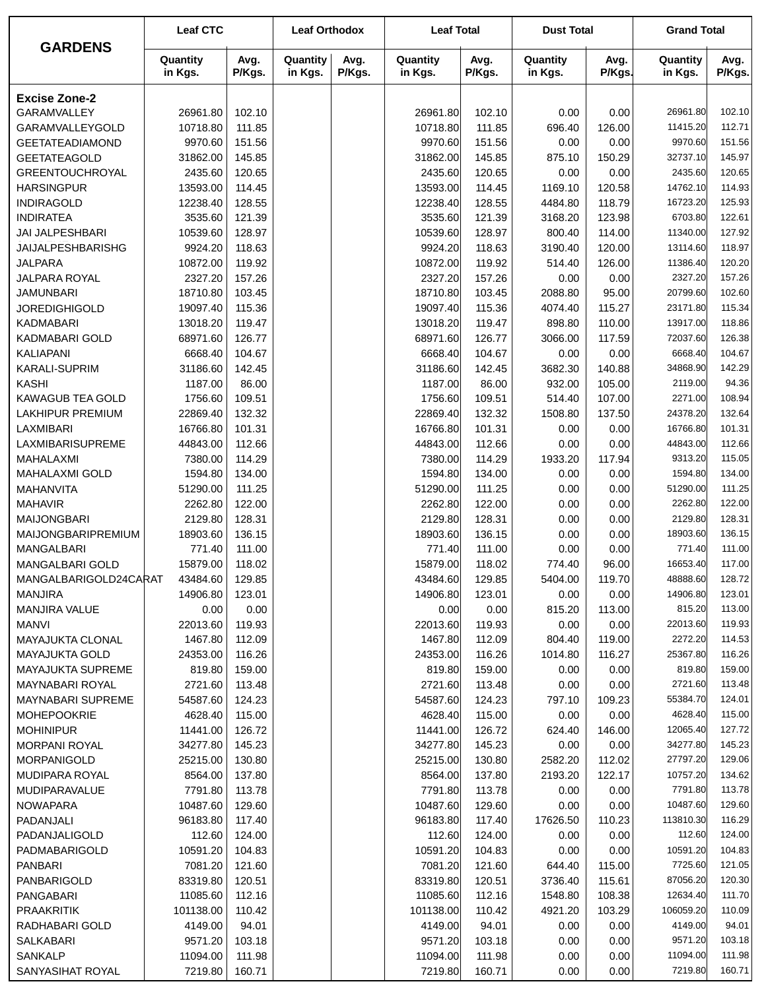|                                  | <b>Leaf CTC</b>     |                  | <b>Leaf Orthodox</b> |                | <b>Leaf Total</b>   |                  | <b>Dust Total</b>   |                | <b>Grand Total</b>  |                  |
|----------------------------------|---------------------|------------------|----------------------|----------------|---------------------|------------------|---------------------|----------------|---------------------|------------------|
| <b>GARDENS</b>                   | Quantity<br>in Kgs. | Avg.<br>P/Kgs.   | Quantity<br>in Kgs.  | Avg.<br>P/Kgs. | Quantity<br>in Kgs. | Avg.<br>P/Kgs.   | Quantity<br>in Kgs. | Avg.<br>P/Kgs. | Quantity<br>in Kgs. | Avg.<br>P/Kgs.   |
| <b>Excise Zone-2</b>             |                     |                  |                      |                |                     |                  |                     |                |                     |                  |
| <b>GARAMVALLEY</b>               | 26961.80            | 102.10           |                      |                | 26961.80            | 102.10           | 0.00                | 0.00           | 26961.80            | 102.10           |
| GARAMVALLEYGOLD                  | 10718.80            | 111.85           |                      |                | 10718.80            | 111.85           | 696.40              | 126.00         | 11415.20            | 112.71           |
| <b>GEETATEADIAMOND</b>           | 9970.60             | 151.56           |                      |                | 9970.60             | 151.56           | 0.00                | 0.00           | 9970.60             | 151.56           |
| <b>GEETATEAGOLD</b>              | 31862.00            | 145.85           |                      |                | 31862.00            | 145.85           | 875.10              | 150.29         | 32737.10            | 145.97           |
| <b>GREENTOUCHROYAL</b>           | 2435.60             | 120.65           |                      |                | 2435.60             | 120.65           | 0.00                | 0.00           | 2435.60             | 120.65           |
| <b>HARSINGPUR</b>                | 13593.00            | 114.45           |                      |                | 13593.00            | 114.45           | 1169.10             | 120.58         | 14762.10            | 114.93           |
| <b>INDIRAGOLD</b>                | 12238.40            | 128.55           |                      |                | 12238.40            | 128.55           | 4484.80             | 118.79         | 16723.20            | 125.93           |
| <b>INDIRATEA</b>                 | 3535.60             | 121.39           |                      |                | 3535.60             | 121.39           | 3168.20             | 123.98         | 6703.80             | 122.61           |
| JAI JALPESHBARI                  | 10539.60            | 128.97           |                      |                | 10539.60            | 128.97           | 800.40              | 114.00         | 11340.00            | 127.92           |
| JAIJALPESHBARISHG                | 9924.20             | 118.63           |                      |                | 9924.20             | 118.63           | 3190.40             | 120.00         | 13114.60            | 118.97           |
| <b>JALPARA</b>                   | 10872.00            | 119.92           |                      |                | 10872.00            | 119.92           | 514.40              | 126.00         | 11386.40            | 120.20           |
| JALPARA ROYAL                    | 2327.20             | 157.26           |                      |                | 2327.20             | 157.26           | 0.00                | 0.00           | 2327.20             | 157.26           |
| <b>JAMUNBARI</b>                 | 18710.80            | 103.45           |                      |                | 18710.80            | 103.45           | 2088.80             | 95.00          | 20799.60            | 102.60           |
| <b>JOREDIGHIGOLD</b>             | 19097.40            | 115.36           |                      |                | 19097.40            | 115.36           | 4074.40             | 115.27         | 23171.80            | 115.34           |
| <b>KADMABARI</b>                 | 13018.20            | 119.47           |                      |                | 13018.20            | 119.47           | 898.80              | 110.00         | 13917.00            | 118.86           |
| <b>KADMABARI GOLD</b>            | 68971.60            | 126.77           |                      |                | 68971.60            | 126.77           | 3066.00             | 117.59         | 72037.60            | 126.38           |
| <b>KALIAPANI</b>                 | 6668.40             | 104.67           |                      |                | 6668.40             | 104.67           | 0.00                | 0.00           | 6668.40             | 104.67           |
| <b>KARALI-SUPRIM</b>             | 31186.60            | 142.45           |                      |                | 31186.60            | 142.45           | 3682.30             | 140.88         | 34868.90            | 142.29           |
| <b>KASHI</b>                     | 1187.00             | 86.00            |                      |                | 1187.00             | 86.00            | 932.00              | 105.00         | 2119.00             | 94.36            |
| KAWAGUB TEA GOLD                 | 1756.60             | 109.51           |                      |                | 1756.60             | 109.51           | 514.40              | 107.00         | 2271.00             | 108.94           |
| <b>LAKHIPUR PREMIUM</b>          | 22869.40            | 132.32           |                      |                | 22869.40            | 132.32           | 1508.80             | 137.50         | 24378.20            | 132.64           |
| LAXMIBARI                        | 16766.80            | 101.31           |                      |                | 16766.80            | 101.31           | 0.00                | 0.00           | 16766.80            | 101.31           |
| LAXMIBARISUPREME                 | 44843.00            | 112.66           |                      |                | 44843.00            | 112.66           | 0.00                | 0.00           | 44843.00            | 112.66           |
| MAHALAXMI                        | 7380.00             | 114.29           |                      |                | 7380.00             | 114.29           | 1933.20             | 117.94         | 9313.20             | 115.05           |
| <b>MAHALAXMI GOLD</b>            | 1594.80             | 134.00           |                      |                | 1594.80             | 134.00           | 0.00                | 0.00           | 1594.80             | 134.00           |
| <b>MAHANVITA</b>                 | 51290.00            | 111.25           |                      |                | 51290.00            | 111.25           | 0.00                | 0.00           | 51290.00            | 111.25           |
| <b>MAHAVIR</b>                   | 2262.80             | 122.00           |                      |                | 2262.80             | 122.00           | 0.00                | 0.00           | 2262.80             | 122.00           |
| <b>MAIJONGBARI</b>               | 2129.80<br>18903.60 | 128.31<br>136.15 |                      |                | 2129.80<br>18903.60 | 128.31<br>136.15 | 0.00                | 0.00<br>0.00   | 2129.80<br>18903.60 | 128.31<br>136.15 |
| MAIJONGBARIPREMIUM<br>MANGALBARI | 771.40              | 111.00           |                      |                | 771.40              | 111.00           | 0.00<br>0.00        | 0.00           | 771.40              | 111.00           |
| <b>MANGALBARI GOLD</b>           | 15879.00            | 118.02           |                      |                | 15879.00            | 118.02           | 774.40              | 96.00          | 16653.40            | 117.00           |
| MANGALBARIGOLD24CARAT 43484.60   |                     | 129.85           |                      |                | 43484.60            | 129.85           | 5404.00             | 119.70         | 48888.60            | 128.72           |
| <b>MANJIRA</b>                   | 14906.80            | 123.01           |                      |                | 14906.80            | 123.01           | 0.00                | 0.00           | 14906.80            | 123.01           |
| MANJIRA VALUE                    | 0.00                | 0.00             |                      |                | 0.00                | 0.00             | 815.20              | 113.00         | 815.20              | 113.00           |
| <b>MANVI</b>                     | 22013.60            | 119.93           |                      |                | 22013.60            | 119.93           | 0.00                | 0.00           | 22013.60            | 119.93           |
| <b>MAYAJUKTA CLONAL</b>          | 1467.80             | 112.09           |                      |                | 1467.80             | 112.09           | 804.40              | 119.00         | 2272.20             | 114.53           |
| <b>MAYAJUKTA GOLD</b>            | 24353.00            | 116.26           |                      |                | 24353.00            | 116.26           | 1014.80             | 116.27         | 25367.80            | 116.26           |
| <b>MAYAJUKTA SUPREME</b>         | 819.80              | 159.00           |                      |                | 819.80              | 159.00           | 0.00                | 0.00           | 819.80              | 159.00           |
| MAYNABARI ROYAL                  | 2721.60             | 113.48           |                      |                | 2721.60             | 113.48           | 0.00                | 0.00           | 2721.60             | 113.48           |
| <b>MAYNABARI SUPREME</b>         | 54587.60            | 124.23           |                      |                | 54587.60            | 124.23           | 797.10              | 109.23         | 55384.70            | 124.01           |
| <b>MOHEPOOKRIE</b>               | 4628.40             | 115.00           |                      |                | 4628.40             | 115.00           | 0.00                | 0.00           | 4628.40             | 115.00           |
| <b>MOHINIPUR</b>                 | 11441.00            | 126.72           |                      |                | 11441.00            | 126.72           | 624.40              | 146.00         | 12065.40            | 127.72           |
| <b>MORPANI ROYAL</b>             | 34277.80            | 145.23           |                      |                | 34277.80            | 145.23           | 0.00                | 0.00           | 34277.80            | 145.23           |
| <b>MORPANIGOLD</b>               | 25215.00            | 130.80           |                      |                | 25215.00            | 130.80           | 2582.20             | 112.02         | 27797.20            | 129.06           |
| MUDIPARA ROYAL                   | 8564.00             | 137.80           |                      |                | 8564.00             | 137.80           | 2193.20             | 122.17         | 10757.20            | 134.62           |
| MUDIPARAVALUE                    | 7791.80             | 113.78           |                      |                | 7791.80             | 113.78           | 0.00                | 0.00           | 7791.80             | 113.78           |
| <b>NOWAPARA</b>                  | 10487.60            | 129.60           |                      |                | 10487.60            | 129.60           | 0.00                | 0.00           | 10487.60            | 129.60           |
| PADANJALI                        | 96183.80            | 117.40           |                      |                | 96183.80            | 117.40           | 17626.50            | 110.23         | 113810.30           | 116.29           |
| PADANJALIGOLD                    | 112.60              | 124.00           |                      |                | 112.60              | 124.00           | 0.00                | 0.00           | 112.60              | 124.00           |
| PADMABARIGOLD                    | 10591.20            | 104.83           |                      |                | 10591.20            | 104.83           | 0.00                | 0.00           | 10591.20            | 104.83           |
| <b>PANBARI</b>                   | 7081.20             | 121.60           |                      |                | 7081.20             | 121.60           | 644.40              | 115.00         | 7725.60             | 121.05           |
| PANBARIGOLD                      | 83319.80            | 120.51           |                      |                | 83319.80            | 120.51           | 3736.40             | 115.61         | 87056.20            | 120.30           |
| PANGABARI                        | 11085.60            | 112.16           |                      |                | 11085.60            | 112.16           | 1548.80             | 108.38         | 12634.40            | 111.70           |
| <b>PRAAKRITIK</b>                | 101138.00           | 110.42           |                      |                | 101138.00           | 110.42           | 4921.20             | 103.29         | 106059.20           | 110.09           |
| RADHABARI GOLD                   | 4149.00             | 94.01            |                      |                | 4149.00             | 94.01            | 0.00                | 0.00           | 4149.00             | 94.01            |
| <b>SALKABARI</b>                 | 9571.20             | 103.18           |                      |                | 9571.20             | 103.18           | 0.00                | 0.00           | 9571.20             | 103.18           |
| SANKALP                          | 11094.00            | 111.98           |                      |                | 11094.00            | 111.98           | 0.00                | 0.00           | 11094.00            | 111.98           |
| SANYASIHAT ROYAL                 | 7219.80             | 160.71           |                      |                | 7219.80             | 160.71           | 0.00                | 0.00           | 7219.80             | 160.71           |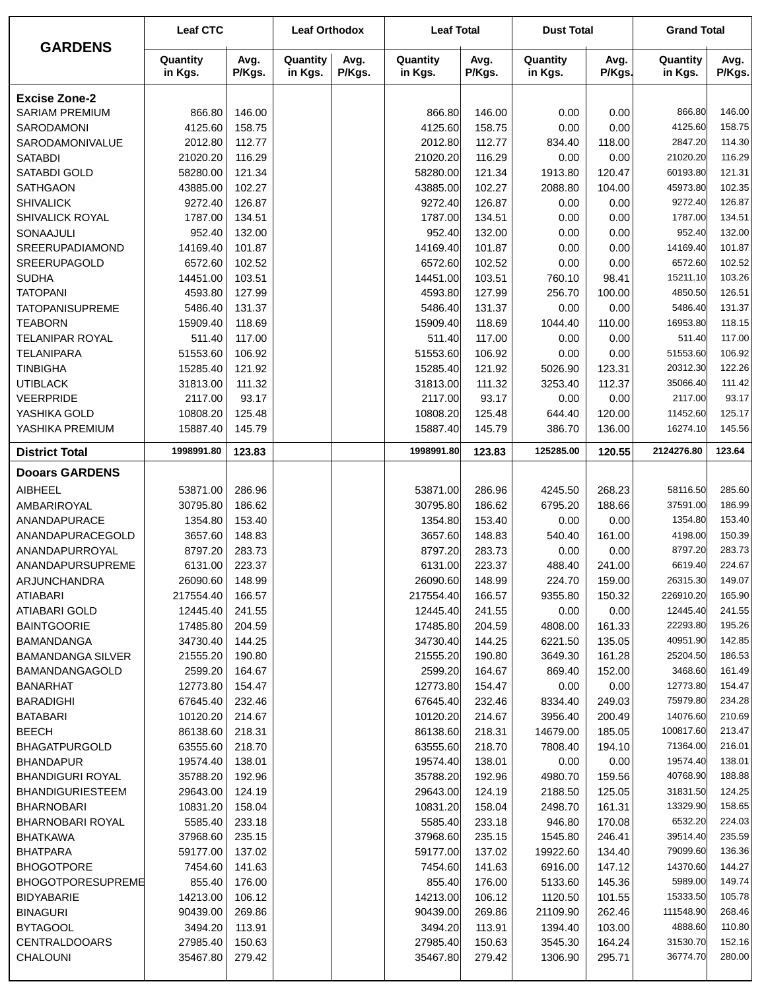| <b>GARDENS</b>                       | <b>Leaf CTC</b>      |                  | <b>Leaf Orthodox</b> |                | <b>Leaf Total</b>    |                  | <b>Dust Total</b>   |                  | <b>Grand Total</b>   |                  |
|--------------------------------------|----------------------|------------------|----------------------|----------------|----------------------|------------------|---------------------|------------------|----------------------|------------------|
|                                      | Quantity<br>in Kgs.  | Avg.<br>P/Kgs.   | Quantity<br>in Kgs.  | Avg.<br>P/Kgs. | Quantity<br>in Kgs.  | Avg.<br>P/Kgs.   | Quantity<br>in Kgs. | Avg.<br>P/Kgs.   | Quantity<br>in Kgs.  | Avg.<br>P/Kgs.   |
| <b>Excise Zone-2</b>                 |                      |                  |                      |                |                      |                  |                     |                  |                      |                  |
| <b>SARIAM PREMIUM</b>                | 866.80               | 146.00           |                      |                | 866.80               | 146.00           | 0.00                | 0.00             | 866.80               | 146.00           |
| <b>SARODAMONI</b>                    | 4125.60              | 158.75           |                      |                | 4125.60              | 158.75           | 0.00                | 0.00             | 4125.60              | 158.75           |
| SARODAMONIVALUE                      | 2012.80              | 112.77           |                      |                | 2012.80              | 112.77           | 834.40              | 118.00           | 2847.20              | 114.30           |
| <b>SATABDI</b>                       | 21020.20             | 116.29           |                      |                | 21020.20             | 116.29           | 0.00                | 0.00             | 21020.20             | 116.29           |
| <b>SATABDI GOLD</b>                  | 58280.00             | 121.34           |                      |                | 58280.00             | 121.34           | 1913.80             | 120.47           | 60193.80             | 121.31           |
| <b>SATHGAON</b>                      | 43885.00             | 102.27           |                      |                | 43885.00             | 102.27           | 2088.80             | 104.00           | 45973.80             | 102.35           |
| <b>SHIVALICK</b>                     | 9272.40              | 126.87           |                      |                | 9272.40              | 126.87           | 0.00                | 0.00             | 9272.40              | 126.87           |
| SHIVALICK ROYAL                      | 1787.00              | 134.51           |                      |                | 1787.00              | 134.51           | 0.00                | 0.00             | 1787.00              | 134.51           |
| SONAAJULI                            | 952.40               | 132.00           |                      |                | 952.40               | 132.00           | 0.00                | 0.00             | 952.40               | 132.00           |
| SREERUPADIAMOND                      | 14169.40             | 101.87           |                      |                | 14169.40             | 101.87           | 0.00                | 0.00             | 14169.40             | 101.87           |
| <b>SREERUPAGOLD</b>                  | 6572.60              | 102.52           |                      |                | 6572.60              | 102.52           | 0.00                | 0.00             | 6572.60              | 102.52           |
| <b>SUDHA</b>                         | 14451.00             | 103.51           |                      |                | 14451.00             | 103.51           | 760.10              | 98.41            | 15211.10             | 103.26           |
| <b>TATOPANI</b>                      | 4593.80              | 127.99           |                      |                | 4593.80              | 127.99           | 256.70              | 100.00           | 4850.50              | 126.51           |
| <b>TATOPANISUPREME</b>               | 5486.40<br>15909.40  | 131.37           |                      |                | 5486.40              | 131.37           | 0.00                | 0.00             | 5486.40<br>16953.80  | 131.37           |
| <b>TEABORN</b>                       |                      | 118.69           |                      |                | 15909.40             | 118.69           | 1044.40             | 110.00           |                      | 118.15           |
| <b>TELANIPAR ROYAL</b>               | 511.40               | 117.00           |                      |                | 511.40               | 117.00           | 0.00                | 0.00             | 511.40<br>51553.60   | 117.00<br>106.92 |
| <b>TELANIPARA</b><br><b>TINBIGHA</b> | 51553.60<br>15285.40 | 106.92<br>121.92 |                      |                | 51553.60<br>15285.40 | 106.92<br>121.92 | 0.00<br>5026.90     | 0.00<br>123.31   | 20312.30             | 122.26           |
| <b>UTIBLACK</b>                      | 31813.00             | 111.32           |                      |                | 31813.00             | 111.32           | 3253.40             | 112.37           | 35066.40             | 111.42           |
| VEERPRIDE                            | 2117.00              | 93.17            |                      |                | 2117.00              | 93.17            | 0.00                | 0.00             | 2117.00              | 93.17            |
| YASHIKA GOLD                         | 10808.20             | 125.48           |                      |                | 10808.20             | 125.48           | 644.40              | 120.00           | 11452.60             | 125.17           |
| YASHIKA PREMIUM                      | 15887.40             | 145.79           |                      |                | 15887.40             | 145.79           | 386.70              | 136.00           | 16274.10             | 145.56           |
| <b>District Total</b>                | 1998991.80           | 123.83           |                      |                | 1998991.80           | 123.83           | 125285.00           | 120.55           | 2124276.80           | 123.64           |
| <b>Dooars GARDENS</b>                |                      |                  |                      |                |                      |                  |                     |                  |                      |                  |
| <b>AIBHEEL</b>                       | 53871.00             | 286.96           |                      |                | 53871.00             | 286.96           | 4245.50             | 268.23           | 58116.50             | 285.60           |
| AMBARIROYAL                          | 30795.80             | 186.62           |                      |                | 30795.80             | 186.62           | 6795.20             | 188.66           | 37591.00             | 186.99           |
| ANANDAPURACE                         | 1354.80              | 153.40           |                      |                | 1354.80              | 153.40           | 0.00                | 0.00             | 1354.80              | 153.40           |
| ANANDAPURACEGOLD                     | 3657.60              | 148.83           |                      |                | 3657.60              | 148.83           | 540.40              | 161.00           | 4198.00              | 150.39           |
| ANANDAPURROYAL                       | 8797.20              | 283.73           |                      |                | 8797.20              | 283.73           | 0.00                | 0.00             | 8797.20              | 283.73           |
| ANANDAPURSUPREME                     | 6131.00              | 223.37           |                      |                | 6131.00              | 223.37           | 488.40              | 241.00           | 6619.40              | 224.67           |
| ARJUNCHANDRA                         | 26090.60             | 148.99           |                      |                | 26090.60             | 148.99           | 224.70              | 159.00           | 26315.30             | 149.07           |
| <b>ATIABARI</b>                      | 217554.40            | 166.57           |                      |                | 217554.40            | 166.57           | 9355.80             | 150.32           | 226910.20            | 165.90           |
| <b>ATIABARI GOLD</b>                 | 12445.40             | 241.55           |                      |                | 12445.40             | 241.55           | 0.00                | 0.00             | 12445.40             | 241.55           |
| <b>BAINTGOORIE</b>                   | 17485.80             | 204.59           |                      |                | 17485.80             | 204.59           | 4808.00             | 161.33           | 22293.80             | 195.26           |
| <b>BAMANDANGA</b>                    | 34730.40             | 144.25           |                      |                | 34730.40             | 144.25           | 6221.50             | 135.05           | 40951.90             | 142.85           |
| <b>BAMANDANGA SILVER</b>             | 21555.20             | 190.80           |                      |                | 21555.20             | 190.80           | 3649.30             | 161.28           | 25204.50             | 186.53           |
| <b>BAMANDANGAGOLD</b>                | 2599.20              | 164.67           |                      |                | 2599.20              | 164.67           | 869.40              | 152.00           | 3468.60              | 161.49           |
| <b>BANARHAT</b>                      | 12773.80             | 154.47           |                      |                | 12773.80             | 154.47           | 0.00                | 0.00             | 12773.80             | 154.47           |
| <b>BARADIGHI</b>                     | 67645.40<br>10120.20 | 232.46<br>214.67 |                      |                | 67645.40<br>10120.20 | 232.46<br>214.67 | 8334.40<br>3956.40  | 249.03<br>200.49 | 75979.80<br>14076.60 | 234.28<br>210.69 |
| <b>BATABARI</b><br><b>BEECH</b>      | 86138.60             | 218.31           |                      |                | 86138.60             | 218.31           | 14679.00            | 185.05           | 100817.60            | 213.47           |
| <b>BHAGATPURGOLD</b>                 | 63555.60             | 218.70           |                      |                | 63555.60             | 218.70           | 7808.40             | 194.10           | 71364.00             | 216.01           |
| <b>BHANDAPUR</b>                     | 19574.40             | 138.01           |                      |                | 19574.40             | 138.01           | 0.00                | 0.00             | 19574.40             | 138.01           |
| <b>BHANDIGURI ROYAL</b>              | 35788.20             | 192.96           |                      |                | 35788.20             | 192.96           | 4980.70             | 159.56           | 40768.90             | 188.88           |
| <b>BHANDIGURIESTEEM</b>              | 29643.00             | 124.19           |                      |                | 29643.00             | 124.19           | 2188.50             | 125.05           | 31831.50             | 124.25           |
| <b>BHARNOBARI</b>                    | 10831.20             | 158.04           |                      |                | 10831.20             | 158.04           | 2498.70             | 161.31           | 13329.90             | 158.65           |
| BHARNOBARI ROYAL                     | 5585.40              | 233.18           |                      |                | 5585.40              | 233.18           | 946.80              | 170.08           | 6532.20              | 224.03           |
| <b>BHATKAWA</b>                      | 37968.60             | 235.15           |                      |                | 37968.60             | 235.15           | 1545.80             | 246.41           | 39514.40             | 235.59           |
| <b>BHATPARA</b>                      | 59177.00             | 137.02           |                      |                | 59177.00             | 137.02           | 19922.60            | 134.40           | 79099.60             | 136.36           |
| <b>BHOGOTPORE</b>                    | 7454.60              | 141.63           |                      |                | 7454.60              | 141.63           | 6916.00             | 147.12           | 14370.60             | 144.27           |
| <b>BHOGOTPORESUPREME</b>             | 855.40               | 176.00           |                      |                | 855.40               | 176.00           | 5133.60             | 145.36           | 5989.00              | 149.74           |
| <b>BIDYABARIE</b>                    | 14213.00             | 106.12           |                      |                | 14213.00             | 106.12           | 1120.50             | 101.55           | 15333.50             | 105.78           |
| <b>BINAGURI</b>                      | 90439.00             | 269.86           |                      |                | 90439.00             | 269.86           | 21109.90            | 262.46           | 111548.90            | 268.46           |
| <b>BYTAGOOL</b>                      | 3494.20              | 113.91           |                      |                | 3494.20              | 113.91           | 1394.40             | 103.00           | 4888.60              | 110.80           |
| <b>CENTRALDOOARS</b>                 | 27985.40             | 150.63           |                      |                | 27985.40             | 150.63           | 3545.30             | 164.24           | 31530.70             | 152.16           |
| CHALOUNI                             | 35467.80             | 279.42           |                      |                | 35467.80             | 279.42           | 1306.90             | 295.71           | 36774.70             | 280.00           |
|                                      |                      |                  |                      |                |                      |                  |                     |                  |                      |                  |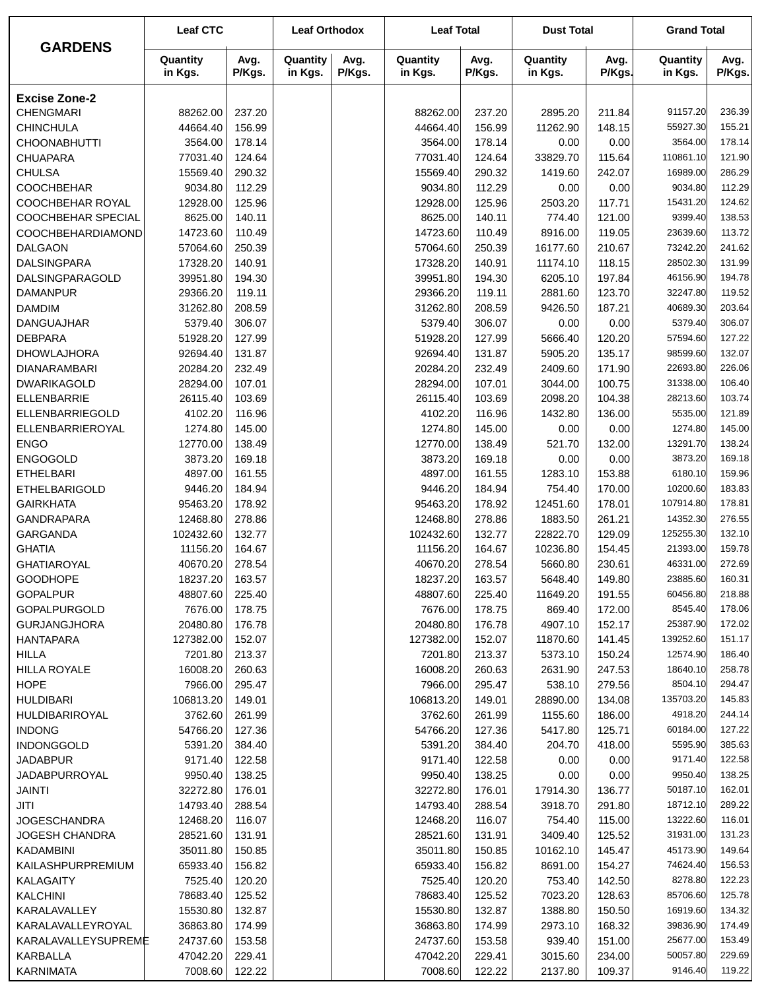|                                    | <b>Leaf CTC</b>     |                  | <b>Leaf Orthodox</b> |                | <b>Leaf Total</b>   |                  | <b>Dust Total</b>   |                  | <b>Grand Total</b>   |                  |
|------------------------------------|---------------------|------------------|----------------------|----------------|---------------------|------------------|---------------------|------------------|----------------------|------------------|
| <b>GARDENS</b>                     | Quantity<br>in Kgs. | Avg.<br>P/Kgs.   | Quantity<br>in Kgs.  | Avg.<br>P/Kgs. | Quantity<br>in Kgs. | Avg.<br>P/Kgs.   | Quantity<br>in Kgs. | Avg.<br>P/Kgs.   | Quantity<br>in Kgs.  | Avg.<br>P/Kgs.   |
| <b>Excise Zone-2</b>               |                     |                  |                      |                |                     |                  |                     |                  |                      |                  |
| <b>CHENGMARI</b>                   | 88262.00            | 237.20           |                      |                | 88262.00            | 237.20           | 2895.20             | 211.84           | 91157.20             | 236.39           |
| <b>CHINCHULA</b>                   | 44664.40            | 156.99           |                      |                | 44664.40            | 156.99           | 11262.90            | 148.15           | 55927.30             | 155.21           |
| <b>CHOONABHUTTI</b>                | 3564.00             | 178.14           |                      |                | 3564.00             | 178.14           | 0.00                | 0.00             | 3564.00              | 178.14           |
| <b>CHUAPARA</b>                    | 77031.40            | 124.64           |                      |                | 77031.40            | 124.64           | 33829.70            | 115.64           | 110861.10            | 121.90           |
| <b>CHULSA</b>                      | 15569.40            | 290.32           |                      |                | 15569.40            | 290.32           | 1419.60             | 242.07           | 16989.00             | 286.29           |
| <b>COOCHBEHAR</b>                  | 9034.80             | 112.29           |                      |                | 9034.80             | 112.29           | 0.00                | 0.00             | 9034.80              | 112.29           |
| COOCHBEHAR ROYAL                   | 12928.00            | 125.96           |                      |                | 12928.00            | 125.96           | 2503.20             | 117.71           | 15431.20             | 124.62           |
| COOCHBEHAR SPECIAL                 | 8625.00             | 140.11           |                      |                | 8625.00             | 140.11           | 774.40              | 121.00           | 9399.40              | 138.53           |
| COOCHBEHARDIAMOND                  | 14723.60            | 110.49           |                      |                | 14723.60            | 110.49           | 8916.00             | 119.05           | 23639.60             | 113.72           |
| <b>DALGAON</b>                     | 57064.60            | 250.39           |                      |                | 57064.60            | 250.39           | 16177.60            | 210.67           | 73242.20             | 241.62           |
| <b>DALSINGPARA</b>                 | 17328.20            | 140.91           |                      |                | 17328.20            | 140.91           | 11174.10            | 118.15           | 28502.30             | 131.99           |
| DALSINGPARAGOLD                    | 39951.80            | 194.30           |                      |                | 39951.80            | 194.30           | 6205.10             | 197.84           | 46156.90             | 194.78           |
| <b>DAMANPUR</b>                    | 29366.20            | 119.11           |                      |                | 29366.20            | 119.11           | 2881.60             | 123.70           | 32247.80             | 119.52           |
| <b>DAMDIM</b>                      | 31262.80            | 208.59           |                      |                | 31262.80            | 208.59           | 9426.50             | 187.21           | 40689.30             | 203.64           |
| DANGUAJHAR                         | 5379.40             | 306.07           |                      |                | 5379.40             | 306.07           | 0.00                | 0.00             | 5379.40              | 306.07           |
| <b>DEBPARA</b>                     | 51928.20            | 127.99           |                      |                | 51928.20            | 127.99           | 5666.40             | 120.20           | 57594.60             | 127.22           |
| <b>DHOWLAJHORA</b>                 | 92694.40            | 131.87           |                      |                | 92694.40            | 131.87           | 5905.20             | 135.17           | 98599.60             | 132.07           |
| <b>DIANARAMBARI</b>                | 20284.20            | 232.49           |                      |                | 20284.20            | 232.49           | 2409.60             | 171.90           | 22693.80             | 226.06           |
| <b>DWARIKAGOLD</b>                 | 28294.00            | 107.01           |                      |                | 28294.00            | 107.01           | 3044.00             | 100.75           | 31338.00             | 106.40           |
| <b>ELLENBARRIE</b>                 | 26115.40            | 103.69           |                      |                | 26115.40            | 103.69           | 2098.20             | 104.38           | 28213.60             | 103.74           |
| ELLENBARRIEGOLD                    | 4102.20             | 116.96           |                      |                | 4102.20             | 116.96           | 1432.80             | 136.00           | 5535.00              | 121.89           |
| ELLENBARRIEROYAL                   | 1274.80             | 145.00           |                      |                | 1274.80             | 145.00           | 0.00                | 0.00             | 1274.80              | 145.00           |
| <b>ENGO</b>                        | 12770.00            | 138.49           |                      |                | 12770.00            | 138.49           | 521.70              | 132.00           | 13291.70             | 138.24           |
| <b>ENGOGOLD</b>                    | 3873.20             | 169.18           |                      |                | 3873.20             | 169.18           | 0.00                | 0.00             | 3873.20              | 169.18           |
| <b>ETHELBARI</b>                   | 4897.00             | 161.55           |                      |                | 4897.00             | 161.55           | 1283.10             | 153.88           | 6180.10              | 159.96           |
| <b>ETHELBARIGOLD</b>               | 9446.20             | 184.94           |                      |                | 9446.20             | 184.94           | 754.40              | 170.00           | 10200.60             | 183.83           |
| <b>GAIRKHATA</b>                   | 95463.20            | 178.92           |                      |                | 95463.20            | 178.92           | 12451.60            | 178.01           | 107914.80            | 178.81           |
| <b>GANDRAPARA</b>                  | 12468.80            | 278.86           |                      |                | 12468.80            | 278.86           | 1883.50             | 261.21           | 14352.30             | 276.55           |
| GARGANDA                           | 102432.60           | 132.77           |                      |                | 102432.60           | 132.77           | 22822.70            | 129.09           | 125255.30            | 132.10           |
| <b>GHATIA</b>                      | 11156.20            | 164.67           |                      |                | 11156.20            | 164.67           | 10236.80            | 154.45           | 21393.00             | 159.78           |
| <b>GHATIAROYAL</b>                 | 40670.20            | 278.54           |                      |                | 40670.20            | 278.54           | 5660.80             | 230.61           | 46331.00             | 272.69           |
| <b>GOODHOPE</b>                    | 18237.20            | 163.57           |                      |                | 18237.20            | 163.57           | 5648.40             | 149.80           | 23885.60             | 160.31           |
| <b>GOPALPUR</b>                    | 48807.60            | 225.40           |                      |                | 48807.60            | 225.40           | 11649.20            | 191.55           | 60456.80             | 218.88           |
| GOPALPURGOLD                       | 7676.00             | 178.75           |                      |                | 7676.00             | 178.75           | 869.40              | 172.00           | 8545.40              | 178.06           |
| <b>GURJANGJHORA</b>                | 20480.80            | 176.78           |                      |                | 20480.80            | 176.78           | 4907.10             | 152.17           | 25387.90             | 172.02           |
| <b>HANTAPARA</b>                   | 127382.00           | 152.07           |                      |                | 127382.00           | 152.07           | 11870.60            | 141.45           | 139252.60            | 151.17           |
| <b>HILLA</b>                       | 7201.80             | 213.37           |                      |                | 7201.80             | 213.37           | 5373.10             | 150.24           | 12574.90             | 186.40           |
| <b>HILLA ROYALE</b>                | 16008.20            | 260.63           |                      |                | 16008.20            | 260.63           | 2631.90             | 247.53           | 18640.10             | 258.78           |
| <b>HOPE</b>                        | 7966.00             | 295.47           |                      |                | 7966.00             | 295.47           | 538.10              | 279.56           | 8504.10<br>135703.20 | 294.47<br>145.83 |
| <b>HULDIBARI</b>                   | 106813.20           | 149.01           |                      |                | 106813.20           | 149.01           | 28890.00            | 134.08           | 4918.20              | 244.14           |
| HULDIBARIROYAL                     | 3762.60             | 261.99           |                      |                | 3762.60             | 261.99           | 1155.60             | 186.00           | 60184.00             | 127.22           |
| <b>INDONG</b><br><b>INDONGGOLD</b> | 54766.20<br>5391.20 | 127.36<br>384.40 |                      |                | 54766.20<br>5391.20 | 127.36<br>384.40 | 5417.80<br>204.70   | 125.71<br>418.00 | 5595.90              | 385.63           |
| <b>JADABPUR</b>                    | 9171.40             | 122.58           |                      |                | 9171.40             | 122.58           | 0.00                | 0.00             | 9171.40              | 122.58           |
| <b>JADABPURROYAL</b>               | 9950.40             | 138.25           |                      |                | 9950.40             | 138.25           | 0.00                | 0.00             | 9950.40              | 138.25           |
| JAINTI                             | 32272.80            | 176.01           |                      |                | 32272.80            | 176.01           | 17914.30            | 136.77           | 50187.10             | 162.01           |
| JITI                               | 14793.40            | 288.54           |                      |                | 14793.40            | 288.54           | 3918.70             | 291.80           | 18712.10             | 289.22           |
| <b>JOGESCHANDRA</b>                | 12468.20            | 116.07           |                      |                | 12468.20            | 116.07           | 754.40              | 115.00           | 13222.60             | 116.01           |
| JOGESH CHANDRA                     | 28521.60            | 131.91           |                      |                | 28521.60            | 131.91           | 3409.40             | 125.52           | 31931.00             | 131.23           |
| <b>KADAMBINI</b>                   | 35011.80            | 150.85           |                      |                | 35011.80            | 150.85           | 10162.10            | 145.47           | 45173.90             | 149.64           |
| KAILASHPURPREMIUM                  | 65933.40            | 156.82           |                      |                | 65933.40            | 156.82           | 8691.00             | 154.27           | 74624.40             | 156.53           |
| KALAGAITY                          | 7525.40             | 120.20           |                      |                | 7525.40             | 120.20           | 753.40              | 142.50           | 8278.80              | 122.23           |
| <b>KALCHINI</b>                    | 78683.40            | 125.52           |                      |                | 78683.40            | 125.52           | 7023.20             | 128.63           | 85706.60             | 125.78           |
| KARALAVALLEY                       | 15530.80            | 132.87           |                      |                | 15530.80            | 132.87           | 1388.80             | 150.50           | 16919.60             | 134.32           |
| KARALAVALLEYROYAL                  | 36863.80            | 174.99           |                      |                | 36863.80            | 174.99           | 2973.10             | 168.32           | 39836.90             | 174.49           |
| KARALAVALLEYSUPREME                | 24737.60            | 153.58           |                      |                | 24737.60            | 153.58           | 939.40              | 151.00           | 25677.00             | 153.49           |
| KARBALLA                           | 47042.20            | 229.41           |                      |                | 47042.20            | 229.41           | 3015.60             | 234.00           | 50057.80             | 229.69           |
| KARNIMATA                          | 7008.60             | 122.22           |                      |                | 7008.60             | 122.22           | 2137.80             | 109.37           | 9146.40              | 119.22           |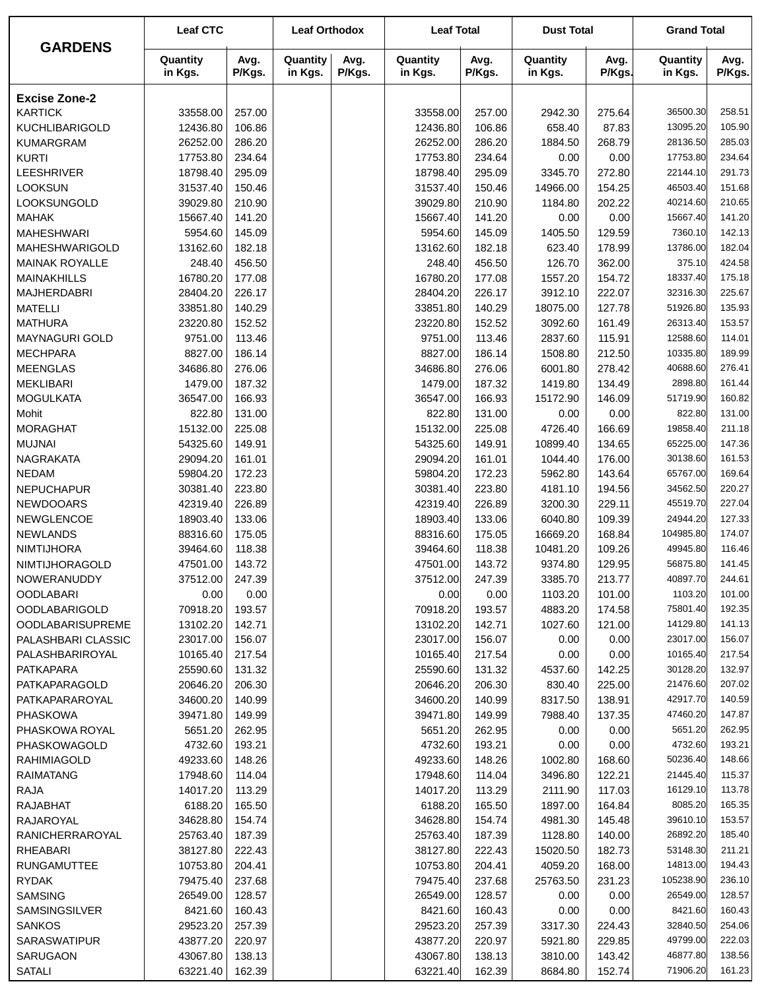|                         | <b>Leaf CTC</b>     |                | <b>Leaf Orthodox</b> |                | <b>Leaf Total</b>   |                | <b>Dust Total</b>   |                | <b>Grand Total</b>  |                |
|-------------------------|---------------------|----------------|----------------------|----------------|---------------------|----------------|---------------------|----------------|---------------------|----------------|
| <b>GARDENS</b>          | Quantity<br>in Kgs. | Avg.<br>P/Kgs. | Quantity<br>in Kgs.  | Avg.<br>P/Kgs. | Quantity<br>in Kgs. | Avg.<br>P/Kgs. | Quantity<br>in Kgs. | Avg.<br>P/Kgs. | Quantity<br>in Kgs. | Avg.<br>P/Kgs. |
| <b>Excise Zone-2</b>    |                     |                |                      |                |                     |                |                     |                |                     |                |
| <b>KARTICK</b>          | 33558.00            | 257.00         |                      |                | 33558.00            | 257.00         | 2942.30             | 275.64         | 36500.30            | 258.51         |
| <b>KUCHLIBARIGOLD</b>   | 12436.80            | 106.86         |                      |                | 12436.80            | 106.86         | 658.40              | 87.83          | 13095.20            | 105.90         |
| <b>KUMARGRAM</b>        | 26252.00            | 286.20         |                      |                | 26252.00            | 286.20         | 1884.50             | 268.79         | 28136.50            | 285.03         |
| <b>KURTI</b>            | 17753.80            | 234.64         |                      |                | 17753.80            | 234.64         | 0.00                | 0.00           | 17753.80            | 234.64         |
| <b>LEESHRIVER</b>       | 18798.40            | 295.09         |                      |                | 18798.40            | 295.09         | 3345.70             | 272.80         | 22144.10            | 291.73         |
| <b>LOOKSUN</b>          | 31537.40            | 150.46         |                      |                | 31537.40            | 150.46         | 14966.00            | 154.25         | 46503.40            | 151.68         |
| LOOKSUNGOLD             | 39029.80            | 210.90         |                      |                | 39029.80            | 210.90         | 1184.80             | 202.22         | 40214.60            | 210.65         |
| <b>MAHAK</b>            | 15667.40            | 141.20         |                      |                | 15667.40            | 141.20         | 0.00                | 0.00           | 15667.40            | 141.20         |
| <b>MAHESHWARI</b>       | 5954.60             | 145.09         |                      |                | 5954.60             | 145.09         | 1405.50             | 129.59         | 7360.10             | 142.13         |
| MAHESHWARIGOLD          | 13162.60            | 182.18         |                      |                | 13162.60            | 182.18         | 623.40              | 178.99         | 13786.00            | 182.04         |
| <b>MAINAK ROYALLE</b>   | 248.40              | 456.50         |                      |                | 248.40              | 456.50         | 126.70              | 362.00         | 375.10              | 424.58         |
| <b>MAINAKHILLS</b>      | 16780.20            | 177.08         |                      |                | 16780.20            | 177.08         | 1557.20             | 154.72         | 18337.40            | 175.18         |
| <b>MAJHERDABRI</b>      | 28404.20            | 226.17         |                      |                | 28404.20            | 226.17         | 3912.10             | 222.07         | 32316.30            | 225.67         |
| <b>MATELLI</b>          | 33851.80            | 140.29         |                      |                | 33851.80            | 140.29         | 18075.00            | 127.78         | 51926.80            | 135.93         |
| <b>MATHURA</b>          | 23220.80            | 152.52         |                      |                | 23220.80            | 152.52         | 3092.60             | 161.49         | 26313.40            | 153.57         |
| <b>MAYNAGURI GOLD</b>   | 9751.00             | 113.46         |                      |                | 9751.00             | 113.46         | 2837.60             | 115.91         | 12588.60            | 114.01         |
| <b>MECHPARA</b>         | 8827.00             | 186.14         |                      |                | 8827.00             | 186.14         | 1508.80             | 212.50         | 10335.80            | 189.99         |
| <b>MEENGLAS</b>         | 34686.80            | 276.06         |                      |                | 34686.80            | 276.06         | 6001.80             | 278.42         | 40688.60            | 276.41         |
| <b>MEKLIBARI</b>        | 1479.00             | 187.32         |                      |                | 1479.00             | 187.32         | 1419.80             | 134.49         | 2898.80             | 161.44         |
| <b>MOGULKATA</b>        | 36547.00            | 166.93         |                      |                | 36547.00            | 166.93         | 15172.90            | 146.09         | 51719.90            | 160.82         |
| Mohit                   | 822.80              | 131.00         |                      |                | 822.80              | 131.00         | 0.00                | 0.00           | 822.80              | 131.00         |
| <b>MORAGHAT</b>         | 15132.00            | 225.08         |                      |                | 15132.00            | 225.08         | 4726.40             | 166.69         | 19858.40            | 211.18         |
| <b>MUJNAI</b>           | 54325.60            | 149.91         |                      |                | 54325.60            | 149.91         | 10899.40            | 134.65         | 65225.00            | 147.36         |
| <b>NAGRAKATA</b>        | 29094.20            | 161.01         |                      |                | 29094.20            | 161.01         | 1044.40             | 176.00         | 30138.60            | 161.53         |
| <b>NEDAM</b>            | 59804.20            | 172.23         |                      |                | 59804.20            | 172.23         | 5962.80             | 143.64         | 65767.00            | 169.64         |
| <b>NEPUCHAPUR</b>       | 30381.40            | 223.80         |                      |                | 30381.40            | 223.80         | 4181.10             | 194.56         | 34562.50            | 220.27         |
| <b>NEWDOOARS</b>        | 42319.40            | 226.89         |                      |                | 42319.40            | 226.89         | 3200.30             | 229.11         | 45519.70            | 227.04         |
| NEWGLENCOE              | 18903.40            | 133.06         |                      |                | 18903.40            | 133.06         | 6040.80             | 109.39         | 24944.20            | 127.33         |
| <b>NEWLANDS</b>         | 88316.60            | 175.05         |                      |                | 88316.60            | 175.05         | 16669.20            | 168.84         | 104985.80           | 174.07         |
| <b>NIMTIJHORA</b>       | 39464.60            | 118.38         |                      |                | 39464.60            | 118.38         | 10481.20            | 109.26         | 49945.80            | 116.46         |
| NIMTIJHORAGOLD          | 47501.00            | 143.72         |                      |                | 47501.00            | 143.72         | 9374.80             | 129.95         | 56875.80            | 141.45         |
| NOWERANUDDY             | 37512.00            | 247.39         |                      |                | 37512.00            | 247.39         | 3385.70             | 213.77         | 40897.70            | 244.61         |
| <b>OODLABARI</b>        | 0.00                | 0.00           |                      |                | 0.00                | 0.00           | 1103.20             | 101.00         | 1103.20             | 101.00         |
| <b>OODLABARIGOLD</b>    | 70918.20            | 193.57         |                      |                | 70918.20            | 193.57         | 4883.20             | 174.58         | 75801.40            | 192.35         |
| <b>OODLABARISUPREME</b> | 13102.20            | 142.71         |                      |                | 13102.20            | 142.71         | 1027.60             | 121.00         | 14129.80            | 141.13         |
| PALASHBARI CLASSIC      | 23017.00            | 156.07         |                      |                | 23017.00            | 156.07         | 0.00                | 0.00           | 23017.00            | 156.07         |
| PALASHBARIROYAL         | 10165.40            | 217.54         |                      |                | 10165.40            | 217.54         | 0.00                | 0.00           | 10165.40            | 217.54         |
| PATKAPARA               | 25590.60            | 131.32         |                      |                | 25590.60            | 131.32         | 4537.60             | 142.25         | 30128.20            | 132.97         |
| PATKAPARAGOLD           | 20646.20            | 206.30         |                      |                | 20646.20            | 206.30         | 830.40              | 225.00         | 21476.60            | 207.02         |
| PATKAPARAROYAL          | 34600.20            | 140.99         |                      |                | 34600.20            | 140.99         | 8317.50             | 138.91         | 42917.70            | 140.59         |
| <b>PHASKOWA</b>         | 39471.80            | 149.99         |                      |                | 39471.80            | 149.99         | 7988.40             | 137.35         | 47460.20            | 147.87         |
| PHASKOWA ROYAL          | 5651.20             | 262.95         |                      |                | 5651.20             | 262.95         | 0.00                | 0.00           | 5651.20             | 262.95         |
| PHASKOWAGOLD            | 4732.60             | 193.21         |                      |                | 4732.60             | 193.21         | 0.00                | 0.00           | 4732.60             | 193.21         |
| <b>RAHIMIAGOLD</b>      | 49233.60            | 148.26         |                      |                | 49233.60            | 148.26         | 1002.80             | 168.60         | 50236.40            | 148.66         |
| <b>RAIMATANG</b>        | 17948.60            | 114.04         |                      |                | 17948.60            | 114.04         | 3496.80             | 122.21         | 21445.40            | 115.37         |
| RAJA                    | 14017.20            | 113.29         |                      |                | 14017.20            | 113.29         | 2111.90             | 117.03         | 16129.10            | 113.78         |
| <b>RAJABHAT</b>         | 6188.20             | 165.50         |                      |                | 6188.20             | 165.50         | 1897.00             | 164.84         | 8085.20             | 165.35         |
| RAJAROYAL               | 34628.80            | 154.74         |                      |                | 34628.80            | 154.74         | 4981.30             | 145.48         | 39610.10            | 153.57         |
| RANICHERRAROYAL         | 25763.40            | 187.39         |                      |                | 25763.40            | 187.39         | 1128.80             | 140.00         | 26892.20            | 185.40         |
| <b>RHEABARI</b>         | 38127.80            | 222.43         |                      |                | 38127.80            | 222.43         | 15020.50            | 182.73         | 53148.30            | 211.21         |
| <b>RUNGAMUTTEE</b>      | 10753.80            | 204.41         |                      |                | 10753.80            | 204.41         | 4059.20             | 168.00         | 14813.00            | 194.43         |
| <b>RYDAK</b>            | 79475.40            | 237.68         |                      |                | 79475.40            | 237.68         | 25763.50            | 231.23         | 105238.90           | 236.10         |
| <b>SAMSING</b>          | 26549.00            | 128.57         |                      |                | 26549.00            | 128.57         | 0.00                | 0.00           | 26549.00            | 128.57         |
| SAMSINGSILVER           | 8421.60             | 160.43         |                      |                | 8421.60             | 160.43         | 0.00                | 0.00           | 8421.60             | 160.43         |
| <b>SANKOS</b>           | 29523.20            | 257.39         |                      |                | 29523.20            | 257.39         | 3317.30             | 224.43         | 32840.50            | 254.06         |
| SARASWATIPUR            | 43877.20            | 220.97         |                      |                | 43877.20            | 220.97         | 5921.80             | 229.85         | 49799.00            | 222.03         |
| SARUGAON                | 43067.80            | 138.13         |                      |                | 43067.80            | 138.13         | 3810.00             | 143.42         | 46877.80            | 138.56         |
| <b>SATALI</b>           | 63221.40            | 162.39         |                      |                | 63221.40            | 162.39         | 8684.80             | 152.74         | 71906.20            | 161.23         |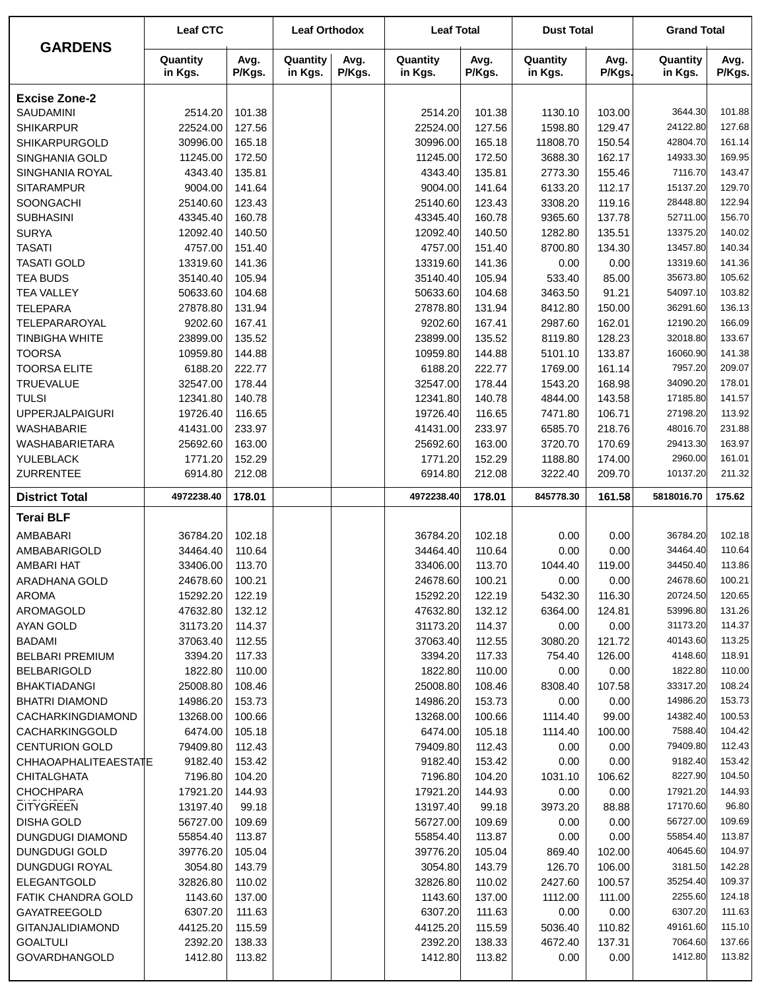| <b>GARDENS</b>          | <b>Leaf CTC</b>     |                | <b>Leaf Orthodox</b> |                | <b>Leaf Total</b>   |                | <b>Dust Total</b>   |                | <b>Grand Total</b>  |                |
|-------------------------|---------------------|----------------|----------------------|----------------|---------------------|----------------|---------------------|----------------|---------------------|----------------|
|                         | Quantity<br>in Kgs. | Avg.<br>P/Kgs. | Quantity<br>in Kgs.  | Avg.<br>P/Kgs. | Quantity<br>in Kgs. | Avg.<br>P/Kgs. | Quantity<br>in Kgs. | Avg.<br>P/Kgs. | Quantity<br>in Kgs. | Avg.<br>P/Kgs. |
| <b>Excise Zone-2</b>    |                     |                |                      |                |                     |                |                     |                |                     |                |
| SAUDAMINI               | 2514.20             | 101.38         |                      |                | 2514.20             | 101.38         | 1130.10             | 103.00         | 3644.30             | 101.88         |
| <b>SHIKARPUR</b>        | 22524.00            | 127.56         |                      |                | 22524.00            | 127.56         | 1598.80             | 129.47         | 24122.80            | 127.68         |
| <b>SHIKARPURGOLD</b>    | 30996.00            | 165.18         |                      |                | 30996.00            | 165.18         | 11808.70            | 150.54         | 42804.70            | 161.14         |
| SINGHANIA GOLD          | 11245.00            | 172.50         |                      |                | 11245.00            | 172.50         | 3688.30             | 162.17         | 14933.30            | 169.95         |
| SINGHANIA ROYAL         | 4343.40             | 135.81         |                      |                | 4343.40             | 135.81         | 2773.30             | 155.46         | 7116.70             | 143.47         |
| <b>SITARAMPUR</b>       | 9004.00             | 141.64         |                      |                | 9004.00             | 141.64         | 6133.20             | 112.17         | 15137.20            | 129.70         |
| SOONGACHI               | 25140.60            | 123.43         |                      |                | 25140.60            | 123.43         | 3308.20             | 119.16         | 28448.80            | 122.94         |
| <b>SUBHASINI</b>        | 43345.40            | 160.78         |                      |                | 43345.40            | 160.78         | 9365.60             | 137.78         | 52711.00            | 156.70         |
| <b>SURYA</b>            | 12092.40            | 140.50         |                      |                | 12092.40            | 140.50         | 1282.80             | 135.51         | 13375.20            | 140.02         |
| <b>TASATI</b>           | 4757.00             | 151.40         |                      |                | 4757.00             | 151.40         | 8700.80             | 134.30         | 13457.80            | 140.34         |
| <b>TASATI GOLD</b>      | 13319.60            | 141.36         |                      |                | 13319.60            | 141.36         | 0.00                | 0.00           | 13319.60            | 141.36         |
| <b>TEA BUDS</b>         | 35140.40            | 105.94         |                      |                | 35140.40            | 105.94         | 533.40              | 85.00          | 35673.80            | 105.62         |
| <b>TEA VALLEY</b>       | 50633.60            | 104.68         |                      |                | 50633.60            | 104.68         | 3463.50             | 91.21          | 54097.10            | 103.82         |
| <b>TELEPARA</b>         | 27878.80            | 131.94         |                      |                | 27878.80            | 131.94         | 8412.80             | 150.00         | 36291.60            | 136.13         |
| TELEPARAROYAL           | 9202.60             | 167.41         |                      |                | 9202.60             | 167.41         | 2987.60             | 162.01         | 12190.20            | 166.09         |
| <b>TINBIGHA WHITE</b>   | 23899.00            | 135.52         |                      |                | 23899.00            | 135.52         | 8119.80             | 128.23         | 32018.80            | 133.67         |
| <b>TOORSA</b>           | 10959.80            | 144.88         |                      |                | 10959.80            | 144.88         | 5101.10             | 133.87         | 16060.90            | 141.38         |
| <b>TOORSA ELITE</b>     | 6188.20             | 222.77         |                      |                | 6188.20             | 222.77         | 1769.00             | 161.14         | 7957.20             | 209.07         |
| <b>TRUEVALUE</b>        | 32547.00            | 178.44         |                      |                | 32547.00            | 178.44         | 1543.20             | 168.98         | 34090.20            | 178.01         |
| <b>TULSI</b>            | 12341.80            | 140.78         |                      |                | 12341.80            | 140.78         | 4844.00             | 143.58         | 17185.80            | 141.57         |
| <b>UPPERJALPAIGURI</b>  | 19726.40            | 116.65         |                      |                | 19726.40            | 116.65         | 7471.80             | 106.71         | 27198.20            | 113.92         |
| <b>WASHABARIE</b>       | 41431.00            | 233.97         |                      |                | 41431.00            | 233.97         | 6585.70             | 218.76         | 48016.70            | 231.88         |
| <b>WASHABARIETARA</b>   | 25692.60            | 163.00         |                      |                | 25692.60            | 163.00         | 3720.70             | 170.69         | 29413.30            | 163.97         |
| YULEBLACK               | 1771.20             | 152.29         |                      |                | 1771.20             | 152.29         | 1188.80             | 174.00         | 2960.00             | 161.01         |
| <b>ZURRENTEE</b>        | 6914.80             | 212.08         |                      |                | 6914.80             | 212.08         | 3222.40             | 209.70         | 10137.20            | 211.32         |
| <b>District Total</b>   | 4972238.40          | 178.01         |                      |                | 4972238.40          | 178.01         | 845778.30           | 161.58         | 5818016.70          | 175.62         |
| <b>Terai BLF</b>        |                     |                |                      |                |                     |                |                     |                |                     |                |
| AMBABARI                | 36784.20            | 102.18         |                      |                | 36784.20            | 102.18         | 0.00                | 0.00           | 36784.20            | 102.18         |
| AMBABARIGOLD            | 34464.40            | 110.64         |                      |                | 34464.40            | 110.64         | 0.00                | 0.00           | 34464.40            | 110.64         |
| <b>AMBARI HAT</b>       | 33406.00            | 113.70         |                      |                | 33406.00            | 113.70         | 1044.40             | 119.00         | 34450.40            | 113.86         |
| ARADHANA GOLD           | 24678.60            | 100.21         |                      |                | 24678.60            | 100.21         | 0.00                | 0.00           | 24678.60            | 100.21         |
| <b>AROMA</b>            | 15292.20            | 122.19         |                      |                | 15292.20            | 122.19         | 5432.30             | 116.30         | 20724.50            | 120.65         |
| <b>AROMAGOLD</b>        | 47632.80            | 132.12         |                      |                | 47632.80            | 132.12         | 6364.00             | 124.81         | 53996.80            | 131.26         |
| <b>AYAN GOLD</b>        | 31173.20            | 114.37         |                      |                | 31173.20            | 114.37         | 0.00                | 0.00           | 31173.20            | 114.37         |
| <b>BADAMI</b>           | 37063.40            | 112.55         |                      |                | 37063.40            | 112.55         | 3080.20             | 121.72         | 40143.60            | 113.25         |
| <b>BELBARI PREMIUM</b>  | 3394.20             | 117.33         |                      |                | 3394.20             | 117.33         | 754.40              | 126.00         | 4148.60             | 118.91         |
| <b>BELBARIGOLD</b>      | 1822.80             | 110.00         |                      |                | 1822.80             | 110.00         | 0.00                | 0.00           | 1822.80             | 110.00         |
| <b>BHAKTIADANGI</b>     | 25008.80            | 108.46         |                      |                | 25008.80            | 108.46         | 8308.40             | 107.58         | 33317.20            | 108.24         |
| <b>BHATRI DIAMOND</b>   | 14986.20            | 153.73         |                      |                | 14986.20            | 153.73         | 0.00                | 0.00           | 14986.20            | 153.73         |
| CACHARKINGDIAMOND       | 13268.00            | 100.66         |                      |                | 13268.00            | 100.66         | 1114.40             | 99.00          | 14382.40            | 100.53         |
| CACHARKINGGOLD          | 6474.00             | 105.18         |                      |                | 6474.00             | 105.18         | 1114.40             | 100.00         | 7588.40             | 104.42         |
| <b>CENTURION GOLD</b>   | 79409.80            | 112.43         |                      |                | 79409.80            | 112.43         | 0.00                | 0.00           | 79409.80            | 112.43         |
| CHHAOAPHALITEAESTATE    | 9182.40             | 153.42         |                      |                | 9182.40             | 153.42         | 0.00                | 0.00           | 9182.40             | 153.42         |
| <b>CHITALGHATA</b>      | 7196.80             | 104.20         |                      |                | 7196.80             | 104.20         | 1031.10             | 106.62         | 8227.90             | 104.50         |
| <b>CHOCHPARA</b>        | 17921.20            | 144.93         |                      |                | 17921.20            | 144.93         | 0.00                | 0.00           | 17921.20            | 144.93         |
| <b>CITYGREEN</b>        | 13197.40            | 99.18          |                      |                | 13197.40            | 99.18          | 3973.20             | 88.88          | 17170.60            | 96.80          |
| <b>DISHA GOLD</b>       | 56727.00            | 109.69         |                      |                | 56727.00            | 109.69         | 0.00                | 0.00           | 56727.00            | 109.69         |
| <b>DUNGDUGI DIAMOND</b> | 55854.40            | 113.87         |                      |                | 55854.40            | 113.87         | 0.00                | 0.00           | 55854.40            | 113.87         |
| <b>DUNGDUGI GOLD</b>    | 39776.20            | 105.04         |                      |                | 39776.20            | 105.04         | 869.40              | 102.00         | 40645.60            | 104.97         |
| <b>DUNGDUGI ROYAL</b>   | 3054.80             | 143.79         |                      |                | 3054.80             | 143.79         | 126.70              | 106.00         | 3181.50             | 142.28         |
| <b>ELEGANTGOLD</b>      | 32826.80            | 110.02         |                      |                | 32826.80            | 110.02         | 2427.60             | 100.57         | 35254.40            | 109.37         |
| FATIK CHANDRA GOLD      | 1143.60             | 137.00         |                      |                | 1143.60             | 137.00         | 1112.00             | 111.00         | 2255.60             | 124.18         |
| GAYATREEGOLD            | 6307.20             | 111.63         |                      |                | 6307.20             | 111.63         | 0.00                | 0.00           | 6307.20             | 111.63         |
| <b>GITANJALIDIAMOND</b> | 44125.20            | 115.59         |                      |                | 44125.20            | 115.59         | 5036.40             | 110.82         | 49161.60            | 115.10         |
| <b>GOALTULI</b>         | 2392.20             | 138.33         |                      |                | 2392.20             | 138.33         | 4672.40             | 137.31         | 7064.60             | 137.66         |
| GOVARDHANGOLD           | 1412.80             | 113.82         |                      |                | 1412.80             | 113.82         | 0.00                | 0.00           | 1412.80             | 113.82         |
|                         |                     |                |                      |                |                     |                |                     |                |                     |                |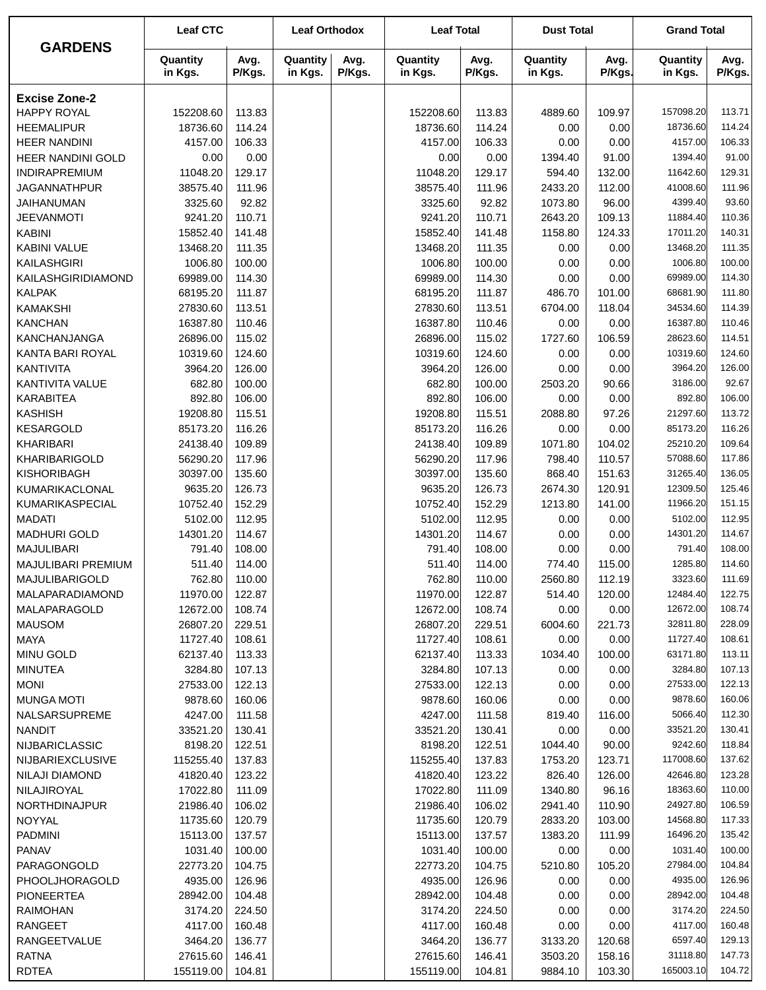|                           | <b>Leaf CTC</b>     |                | <b>Leaf Orthodox</b> |                | <b>Leaf Total</b>   |                | <b>Dust Total</b>   |                | <b>Grand Total</b>  |                |
|---------------------------|---------------------|----------------|----------------------|----------------|---------------------|----------------|---------------------|----------------|---------------------|----------------|
| <b>GARDENS</b>            | Quantity<br>in Kgs. | Avg.<br>P/Kgs. | Quantity<br>in Kgs.  | Avg.<br>P/Kgs. | Quantity<br>in Kgs. | Avg.<br>P/Kgs. | Quantity<br>in Kgs. | Avg.<br>P/Kgs. | Quantity<br>in Kgs. | Avg.<br>P/Kgs. |
| <b>Excise Zone-2</b>      |                     |                |                      |                |                     |                |                     |                |                     |                |
| <b>HAPPY ROYAL</b>        | 152208.60           | 113.83         |                      |                | 152208.60           | 113.83         | 4889.60             | 109.97         | 157098.20           | 113.71         |
| <b>HEEMALIPUR</b>         | 18736.60            | 114.24         |                      |                | 18736.60            | 114.24         | 0.00                | 0.00           | 18736.60            | 114.24         |
| <b>HEER NANDINI</b>       | 4157.00             | 106.33         |                      |                | 4157.00             | 106.33         | 0.00                | 0.00           | 4157.00             | 106.33         |
| HEER NANDINI GOLD         | 0.00                | 0.00           |                      |                | 0.00                | 0.00           | 1394.40             | 91.00          | 1394.40             | 91.00          |
| INDIRAPREMIUM             | 11048.20            | 129.17         |                      |                | 11048.20            | 129.17         | 594.40              | 132.00         | 11642.60            | 129.31         |
| <b>JAGANNATHPUR</b>       | 38575.40            | 111.96         |                      |                | 38575.40            | 111.96         | 2433.20             | 112.00         | 41008.60            | 111.96         |
| JAIHANUMAN                | 3325.60             | 92.82          |                      |                | 3325.60             | 92.82          | 1073.80             | 96.00          | 4399.40             | 93.60          |
| <b>JEEVANMOTI</b>         | 9241.20             | 110.71         |                      |                | 9241.20             | 110.71         | 2643.20             | 109.13         | 11884.40            | 110.36         |
| <b>KABINI</b>             | 15852.40            | 141.48         |                      |                | 15852.40            | 141.48         | 1158.80             | 124.33         | 17011.20            | 140.31         |
| KABINI VALUE              | 13468.20            | 111.35         |                      |                | 13468.20            | 111.35         | 0.00                | 0.00           | 13468.20            | 111.35         |
| KAILASHGIRI               | 1006.80             | 100.00         |                      |                | 1006.80             | 100.00         | 0.00                | 0.00           | 1006.80             | 100.00         |
| KAILASHGIRIDIAMOND        | 69989.00            | 114.30         |                      |                | 69989.00            | 114.30         | 0.00                | 0.00           | 69989.00            | 114.30         |
| <b>KALPAK</b>             | 68195.20            | 111.87         |                      |                | 68195.20            | 111.87         | 486.70              | 101.00         | 68681.90            | 111.80         |
| <b>KAMAKSHI</b>           | 27830.60            | 113.51         |                      |                | 27830.60            | 113.51         | 6704.00             | 118.04         | 34534.60            | 114.39         |
| <b>KANCHAN</b>            | 16387.80            | 110.46         |                      |                | 16387.80            | 110.46         | 0.00                | 0.00           | 16387.80            | 110.46         |
| KANCHANJANGA              | 26896.00            | 115.02         |                      |                | 26896.00            | 115.02         | 1727.60             | 106.59         | 28623.60            | 114.51         |
| KANTA BARI ROYAL          | 10319.60            | 124.60         |                      |                | 10319.60            | 124.60         | 0.00                | 0.00           | 10319.60            | 124.60         |
| <b>KANTIVITA</b>          | 3964.20             | 126.00         |                      |                | 3964.20             | 126.00         | 0.00                | 0.00           | 3964.20             | 126.00         |
| KANTIVITA VALUE           | 682.80              | 100.00         |                      |                | 682.80              | 100.00         | 2503.20             | 90.66          | 3186.00             | 92.67          |
| <b>KARABITEA</b>          | 892.80              | 106.00         |                      |                | 892.80              | 106.00         | 0.00                | 0.00           | 892.80              | 106.00         |
| <b>KASHISH</b>            | 19208.80            | 115.51         |                      |                | 19208.80            | 115.51         | 2088.80             | 97.26          | 21297.60            | 113.72         |
| <b>KESARGOLD</b>          | 85173.20            | 116.26         |                      |                | 85173.20            | 116.26         | 0.00                | 0.00           | 85173.20            | 116.26         |
| KHARIBARI                 | 24138.40            | 109.89         |                      |                | 24138.40            | 109.89         | 1071.80             | 104.02         | 25210.20            | 109.64         |
| KHARIBARIGOLD             | 56290.20            | 117.96         |                      |                | 56290.20            | 117.96         | 798.40              | 110.57         | 57088.60            | 117.86         |
| <b>KISHORIBAGH</b>        | 30397.00            | 135.60         |                      |                | 30397.00            | 135.60         | 868.40              | 151.63         | 31265.40            | 136.05         |
| KUMARIKACLONAL            | 9635.20             | 126.73         |                      |                | 9635.20             | 126.73         | 2674.30             | 120.91         | 12309.50            | 125.46         |
| KUMARIKASPECIAL           | 10752.40            | 152.29         |                      |                | 10752.40            | 152.29         | 1213.80             | 141.00         | 11966.20            | 151.15         |
| <b>MADATI</b>             | 5102.00             | 112.95         |                      |                | 5102.00             | 112.95         | 0.00                | 0.00           | 5102.00             | 112.95         |
| <b>MADHURI GOLD</b>       | 14301.20            | 114.67         |                      |                | 14301.20            | 114.67         | 0.00                | 0.00           | 14301.20            | 114.67         |
| <b>MAJULIBARI</b>         | 791.40              | 108.00         |                      |                | 791.40              | 108.00         | 0.00                | 0.00           | 791.40              | 108.00         |
| <b>MAJULIBARI PREMIUM</b> | 511.40              | 114.00         |                      |                | 511.40              | 114.00         | 774.40              | 115.00         | 1285.80             | 114.60         |
| MAJULIBARIGOLD            | 762.80              | 110.00         |                      |                | 762.80              | 110.00         | 2560.80             | 112.19         | 3323.60             | 111.69         |
| <b>MALAPARADIAMOND</b>    | 11970.00            | 122.87         |                      |                | 11970.00            | 122.87         | 514.40              | 120.00         | 12484.40            | 122.75         |
| MALAPARAGOLD              | 12672.00            | 108.74         |                      |                | 12672.00            | 108.74         | 0.00                | 0.00           | 12672.00            | 108.74         |
| <b>MAUSOM</b>             | 26807.20            | 229.51         |                      |                | 26807.20            | 229.51         | 6004.60             | 221.73         | 32811.80            | 228.09         |
| <b>MAYA</b>               | 11727.40            | 108.61         |                      |                | 11727.40            | 108.61         | 0.00                | 0.00           | 11727.40            | 108.61         |
| <b>MINU GOLD</b>          | 62137.40            | 113.33         |                      |                | 62137.40            | 113.33         | 1034.40             | 100.00         | 63171.80            | 113.11         |
| <b>MINUTEA</b>            | 3284.80             | 107.13         |                      |                | 3284.80             | 107.13         | 0.00                | 0.00           | 3284.80             | 107.13         |
| <b>MONI</b>               | 27533.00            | 122.13         |                      |                | 27533.00            | 122.13         | 0.00                | 0.00           | 27533.00            | 122.13         |
| <b>MUNGA MOTI</b>         | 9878.60             | 160.06         |                      |                | 9878.60             | 160.06         | 0.00                | 0.00           | 9878.60             | 160.06         |
| NALSARSUPREME             | 4247.00             | 111.58         |                      |                | 4247.00             | 111.58         | 819.40              | 116.00         | 5066.40             | 112.30         |
| <b>NANDIT</b>             | 33521.20            | 130.41         |                      |                | 33521.20            | 130.41         | 0.00                | 0.00           | 33521.20            | 130.41         |
| <b>NIJBARICLASSIC</b>     | 8198.20             | 122.51         |                      |                | 8198.20             | 122.51         | 1044.40             | 90.00          | 9242.60             | 118.84         |
| NIJBARIEXCLUSIVE          | 115255.40           | 137.83         |                      |                | 115255.40           | 137.83         | 1753.20             | 123.71         | 117008.60           | 137.62         |
| <b>NILAJI DIAMOND</b>     | 41820.40            | 123.22         |                      |                | 41820.40            | 123.22         | 826.40              | 126.00         | 42646.80            | 123.28         |
| NILAJIROYAL               | 17022.80            | 111.09         |                      |                | 17022.80            | 111.09         | 1340.80             | 96.16          | 18363.60            | 110.00         |
| <b>NORTHDINAJPUR</b>      | 21986.40            | 106.02         |                      |                | 21986.40            | 106.02         | 2941.40             | 110.90         | 24927.80            | 106.59         |
| NOYYAL                    | 11735.60            | 120.79         |                      |                | 11735.60            | 120.79         | 2833.20             | 103.00         | 14568.80            | 117.33         |
| <b>PADMINI</b>            | 15113.00            | 137.57         |                      |                | 15113.00            | 137.57         | 1383.20             | 111.99         | 16496.20            | 135.42         |
| <b>PANAV</b>              | 1031.40             | 100.00         |                      |                | 1031.40             | 100.00         | 0.00                | 0.00           | 1031.40             | 100.00         |
| PARAGONGOLD               | 22773.20            | 104.75         |                      |                | 22773.20            | 104.75         | 5210.80             | 105.20         | 27984.00            | 104.84         |
| PHOOLJHORAGOLD            | 4935.00             | 126.96         |                      |                | 4935.00             | 126.96         | 0.00                | 0.00           | 4935.00             | 126.96         |
| <b>PIONEERTEA</b>         | 28942.00            | 104.48         |                      |                | 28942.00            | 104.48         | 0.00                | 0.00           | 28942.00            | 104.48         |
| <b>RAIMOHAN</b>           | 3174.20             | 224.50         |                      |                | 3174.20             | 224.50         | 0.00                | 0.00           | 3174.20             | 224.50         |
| <b>RANGEET</b>            | 4117.00             | 160.48         |                      |                | 4117.00             | 160.48         | 0.00                | 0.00           | 4117.00             | 160.48         |
| RANGEETVALUE              | 3464.20             | 136.77         |                      |                | 3464.20             | 136.77         | 3133.20             | 120.68         | 6597.40             | 129.13         |
| <b>RATNA</b>              | 27615.60            | 146.41         |                      |                | 27615.60            | 146.41         | 3503.20             | 158.16         | 31118.80            | 147.73         |
| <b>RDTEA</b>              | 155119.00           | 104.81         |                      |                | 155119.00           | 104.81         | 9884.10             | 103.30         | 165003.10           | 104.72         |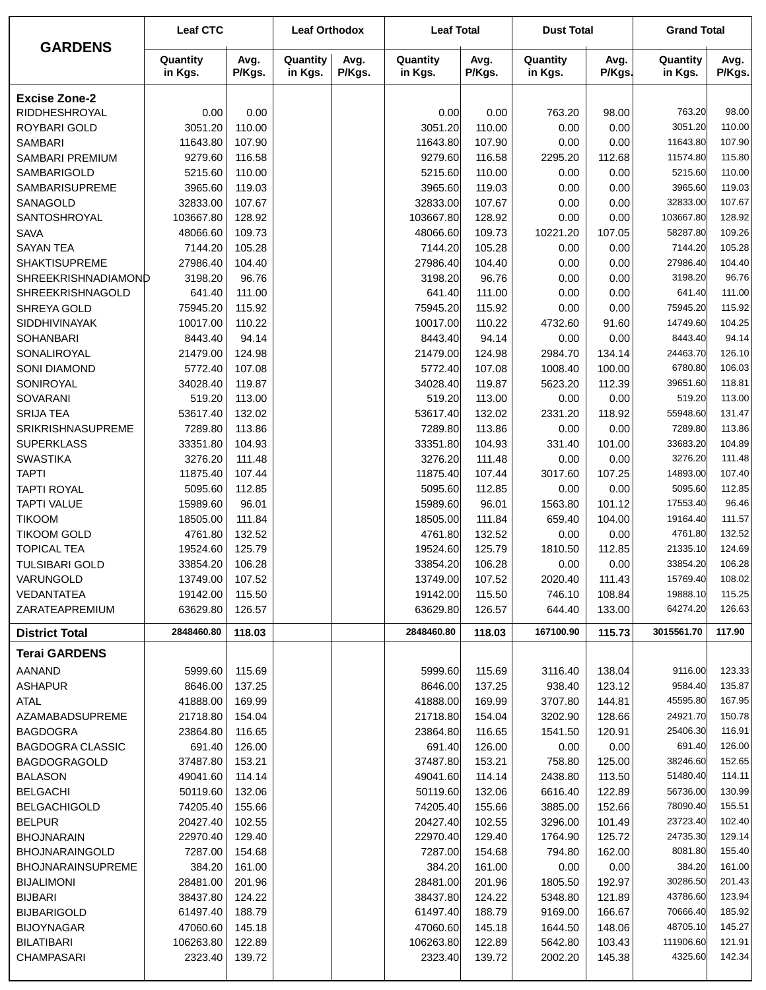| <b>GARDENS</b>                         | <b>Leaf CTC</b>      |                  | <b>Leaf Orthodox</b> |                | <b>Leaf Total</b>    |                  | <b>Dust Total</b>   |                  | <b>Grand Total</b>   |                  |
|----------------------------------------|----------------------|------------------|----------------------|----------------|----------------------|------------------|---------------------|------------------|----------------------|------------------|
|                                        | Quantity<br>in Kgs.  | Avg.<br>P/Kgs.   | Quantity<br>in Kgs.  | Avg.<br>P/Kgs. | Quantity<br>in Kgs.  | Avg.<br>P/Kgs.   | Quantity<br>in Kgs. | Avg.<br>P/Kgs.   | Quantity<br>in Kgs.  | Avg.<br>P/Kgs.   |
| <b>Excise Zone-2</b>                   |                      |                  |                      |                |                      |                  |                     |                  |                      |                  |
| RIDDHESHROYAL                          | 0.00                 | 0.00             |                      |                | 0.00                 | 0.00             | 763.20              | 98.00            | 763.20               | 98.00            |
| ROYBARI GOLD                           | 3051.20              | 110.00           |                      |                | 3051.20              | 110.00           | 0.00                | 0.00             | 3051.20              | 110.00           |
| <b>SAMBARI</b>                         | 11643.80             | 107.90           |                      |                | 11643.80             | 107.90           | 0.00                | 0.00             | 11643.80             | 107.90           |
| SAMBARI PREMIUM                        | 9279.60              | 116.58           |                      |                | 9279.60              | 116.58           | 2295.20             | 112.68           | 11574.80             | 115.80           |
| SAMBARIGOLD                            | 5215.60              | 110.00           |                      |                | 5215.60              | 110.00           | 0.00                | 0.00             | 5215.60              | 110.00           |
| <b>SAMBARISUPREME</b>                  | 3965.60              | 119.03           |                      |                | 3965.60              | 119.03           | 0.00                | 0.00             | 3965.60              | 119.03           |
| SANAGOLD                               | 32833.00             | 107.67           |                      |                | 32833.00             | 107.67           | 0.00                | 0.00             | 32833.00             | 107.67           |
| SANTOSHROYAL                           | 103667.80            | 128.92           |                      |                | 103667.80            | 128.92           | 0.00                | 0.00             | 103667.80            | 128.92           |
| <b>SAVA</b>                            | 48066.60             | 109.73           |                      |                | 48066.60             | 109.73           | 10221.20            | 107.05           | 58287.80             | 109.26           |
| <b>SAYAN TEA</b>                       | 7144.20              | 105.28           |                      |                | 7144.20              | 105.28           | 0.00                | 0.00             | 7144.20              | 105.28           |
| <b>SHAKTISUPREME</b>                   | 27986.40             | 104.40           |                      |                | 27986.40             | 104.40           | 0.00                | 0.00             | 27986.40             | 104.40           |
| SHREEKRISHNADIAMOND                    | 3198.20              | 96.76            |                      |                | 3198.20              | 96.76            | 0.00                | 0.00             | 3198.20              | 96.76            |
| SHREEKRISHNAGOLD                       | 641.40               | 111.00           |                      |                | 641.40               | 111.00           | 0.00                | 0.00             | 641.40<br>75945.20   | 111.00           |
| SHREYA GOLD                            | 75945.20<br>10017.00 | 115.92           |                      |                | 75945.20             | 115.92           | 0.00                | 0.00             | 14749.60             | 115.92<br>104.25 |
| <b>SIDDHIVINAYAK</b>                   | 8443.40              | 110.22           |                      |                | 10017.00<br>8443.40  | 110.22           | 4732.60             | 91.60            | 8443.40              | 94.14            |
| <b>SOHANBARI</b><br>SONALIROYAL        | 21479.00             | 94.14<br>124.98  |                      |                | 21479.00             | 94.14<br>124.98  | 0.00<br>2984.70     | 0.00<br>134.14   | 24463.70             | 126.10           |
| <b>SONI DIAMOND</b>                    | 5772.40              | 107.08           |                      |                | 5772.40              | 107.08           | 1008.40             | 100.00           | 6780.80              | 106.03           |
| SONIROYAL                              | 34028.40             | 119.87           |                      |                | 34028.40             | 119.87           | 5623.20             | 112.39           | 39651.60             | 118.81           |
| <b>SOVARANI</b>                        | 519.20               | 113.00           |                      |                | 519.20               | 113.00           | 0.00                | 0.00             | 519.20               | 113.00           |
| <b>SRIJA TEA</b>                       | 53617.40             | 132.02           |                      |                | 53617.40             | 132.02           | 2331.20             | 118.92           | 55948.60             | 131.47           |
| <b>SRIKRISHNASUPREME</b>               | 7289.80              | 113.86           |                      |                | 7289.80              | 113.86           | 0.00                | 0.00             | 7289.80              | 113.86           |
| <b>SUPERKLASS</b>                      | 33351.80             | 104.93           |                      |                | 33351.80             | 104.93           | 331.40              | 101.00           | 33683.20             | 104.89           |
| <b>SWASTIKA</b>                        | 3276.20              | 111.48           |                      |                | 3276.20              | 111.48           | 0.00                | 0.00             | 3276.20              | 111.48           |
| <b>TAPTI</b>                           | 11875.40             | 107.44           |                      |                | 11875.40             | 107.44           | 3017.60             | 107.25           | 14893.00             | 107.40           |
| <b>TAPTI ROYAL</b>                     | 5095.60              | 112.85           |                      |                | 5095.60              | 112.85           | 0.00                | 0.00             | 5095.60              | 112.85           |
| <b>TAPTI VALUE</b>                     | 15989.60             | 96.01            |                      |                | 15989.60             | 96.01            | 1563.80             | 101.12           | 17553.40             | 96.46            |
| <b>TIKOOM</b>                          | 18505.00             | 111.84           |                      |                | 18505.00             | 111.84           | 659.40              | 104.00           | 19164.40             | 111.57           |
| <b>TIKOOM GOLD</b>                     | 4761.80              | 132.52           |                      |                | 4761.80              | 132.52           | 0.00                | 0.00             | 4761.80              | 132.52           |
| <b>TOPICAL TEA</b>                     | 19524.60             | 125.79           |                      |                | 19524.60             | 125.79           | 1810.50             | 112.85           | 21335.10             | 124.69           |
| <b>TULSIBARI GOLD</b>                  | 33854.20             | 106.28           |                      |                | 33854.20             | 106.28           | 0.00                | 0.00             | 33854.20             | 106.28           |
| VARUNGOLD                              | 13749.00             | 107.52           |                      |                | 13749.00             | 107.52           | 2020.40             | 111.43           | 15769.40             | 108.02           |
| VEDANTATEA                             | 19142.00             | 115.50           |                      |                | 19142.00             | 115.50           | 746.10              | 108.84           | 19888.10             | 115.25           |
| ZARATEAPREMIUM                         | 63629.80             | 126.57           |                      |                | 63629.80             | 126.57           | 644.40              | 133.00           | 64274.20             | 126.63           |
| <b>District Total</b>                  | 2848460.80           | 118.03           |                      |                | 2848460.80           | 118.03           | 167100.90           | 115.73           | 3015561.70           | 117.90           |
| <b>Terai GARDENS</b>                   |                      |                  |                      |                |                      |                  |                     |                  |                      |                  |
| AANAND                                 | 5999.60              | 115.69           |                      |                | 5999.60              | 115.69           | 3116.40             | 138.04           | 9116.00              | 123.33           |
| <b>ASHAPUR</b>                         | 8646.00              | 137.25           |                      |                | 8646.00              | 137.25           | 938.40              | 123.12           | 9584.40              | 135.87           |
| <b>ATAL</b>                            | 41888.00             | 169.99           |                      |                | 41888.00             | 169.99           | 3707.80             | 144.81           | 45595.80             | 167.95           |
| AZAMABADSUPREME                        | 21718.80             | 154.04           |                      |                | 21718.80             | 154.04           | 3202.90             | 128.66           | 24921.70             | 150.78           |
| <b>BAGDOGRA</b>                        | 23864.80             | 116.65           |                      |                | 23864.80             | 116.65           | 1541.50             | 120.91           | 25406.30             | 116.91           |
| <b>BAGDOGRA CLASSIC</b>                | 691.40               | 126.00           |                      |                | 691.40               | 126.00           | 0.00                | 0.00             | 691.40               | 126.00           |
| <b>BAGDOGRAGOLD</b>                    | 37487.80             | 153.21           |                      |                | 37487.80             | 153.21           | 758.80              | 125.00           | 38246.60             | 152.65           |
| <b>BALASON</b>                         | 49041.60             | 114.14           |                      |                | 49041.60             | 114.14           | 2438.80             | 113.50           | 51480.40<br>56736.00 | 114.11<br>130.99 |
| <b>BELGACHI</b><br><b>BELGACHIGOLD</b> | 50119.60<br>74205.40 | 132.06           |                      |                | 50119.60<br>74205.40 | 132.06           | 6616.40             | 122.89           | 78090.40             | 155.51           |
| <b>BELPUR</b>                          | 20427.40             | 155.66<br>102.55 |                      |                | 20427.40             | 155.66<br>102.55 | 3885.00<br>3296.00  | 152.66<br>101.49 | 23723.40             | 102.40           |
| <b>BHOJNARAIN</b>                      | 22970.40             | 129.40           |                      |                | 22970.40             | 129.40           | 1764.90             | 125.72           | 24735.30             | 129.14           |
| <b>BHOJNARAINGOLD</b>                  | 7287.00              | 154.68           |                      |                | 7287.00              | 154.68           | 794.80              | 162.00           | 8081.80              | 155.40           |
| <b>BHOJNARAINSUPREME</b>               | 384.20               | 161.00           |                      |                | 384.20               | 161.00           | 0.00                | 0.00             | 384.20               | 161.00           |
| <b>BIJALIMONI</b>                      | 28481.00             | 201.96           |                      |                | 28481.00             | 201.96           | 1805.50             | 192.97           | 30286.50             | 201.43           |
| <b>BIJBARI</b>                         | 38437.80             | 124.22           |                      |                | 38437.80             | 124.22           | 5348.80             | 121.89           | 43786.60             | 123.94           |
| <b>BIJBARIGOLD</b>                     | 61497.40             | 188.79           |                      |                | 61497.40             | 188.79           | 9169.00             | 166.67           | 70666.40             | 185.92           |
| <b>BIJOYNAGAR</b>                      | 47060.60             | 145.18           |                      |                | 47060.60             | 145.18           | 1644.50             | 148.06           | 48705.10             | 145.27           |
| <b>BILATIBARI</b>                      | 106263.80            | 122.89           |                      |                | 106263.80            | 122.89           | 5642.80             | 103.43           | 111906.60            | 121.91           |
| <b>CHAMPASARI</b>                      | 2323.40              | 139.72           |                      |                | 2323.40              | 139.72           | 2002.20             | 145.38           | 4325.60              | 142.34           |
|                                        |                      |                  |                      |                |                      |                  |                     |                  |                      |                  |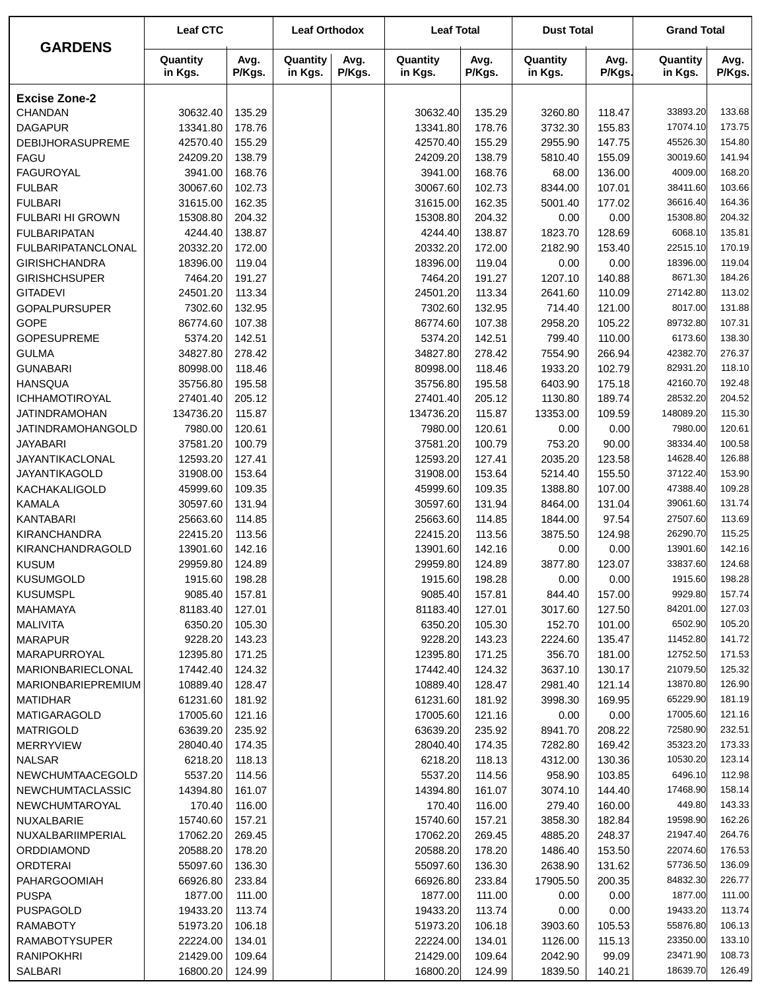| <b>GARDENS</b>                 | <b>Leaf CTC</b>     |                  | <b>Leaf Orthodox</b> |                | <b>Leaf Total</b>   |                  | <b>Dust Total</b>   |                  | <b>Grand Total</b>  |                  |
|--------------------------------|---------------------|------------------|----------------------|----------------|---------------------|------------------|---------------------|------------------|---------------------|------------------|
|                                | Quantity<br>in Kgs. | Avg.<br>P/Kgs.   | Quantity<br>in Kgs.  | Avg.<br>P/Kgs. | Quantity<br>in Kgs. | Avg.<br>P/Kgs.   | Quantity<br>in Kgs. | Avg.<br>P/Kgs.   | Quantity<br>in Kgs. | Avg.<br>P/Kgs.   |
| <b>Excise Zone-2</b>           |                     |                  |                      |                |                     |                  |                     |                  |                     |                  |
| CHANDAN                        | 30632.40            | 135.29           |                      |                | 30632.40            | 135.29           | 3260.80             | 118.47           | 33893.20            | 133.68           |
| <b>DAGAPUR</b>                 | 13341.80            | 178.76           |                      |                | 13341.80            | 178.76           | 3732.30             | 155.83           | 17074.10            | 173.75           |
| <b>DEBIJHORASUPREME</b>        | 42570.40            | 155.29           |                      |                | 42570.40            | 155.29           | 2955.90             | 147.75           | 45526.30            | 154.80           |
| FAGU                           | 24209.20            | 138.79           |                      |                | 24209.20            | 138.79           | 5810.40             | 155.09           | 30019.60            | 141.94           |
| <b>FAGUROYAL</b>               | 3941.00             | 168.76           |                      |                | 3941.00             | 168.76           | 68.00               | 136.00           | 4009.00             | 168.20           |
| <b>FULBAR</b>                  | 30067.60            | 102.73           |                      |                | 30067.60            | 102.73           | 8344.00             | 107.01           | 38411.60            | 103.66           |
| <b>FULBARI</b>                 | 31615.00            | 162.35           |                      |                | 31615.00            | 162.35           | 5001.40             | 177.02           | 36616.40            | 164.36           |
| <b>FULBARI HI GROWN</b>        | 15308.80            | 204.32           |                      |                | 15308.80            | 204.32           | 0.00                | 0.00             | 15308.80            | 204.32           |
| <b>FULBARIPATAN</b>            | 4244.40             | 138.87           |                      |                | 4244.40             | 138.87           | 1823.70             | 128.69           | 6068.10             | 135.81           |
| <b>FULBARIPATANCLONAL</b>      | 20332.20            | 172.00           |                      |                | 20332.20            | 172.00           | 2182.90             | 153.40           | 22515.10            | 170.19           |
| <b>GIRISHCHANDRA</b>           | 18396.00            | 119.04           |                      |                | 18396.00            | 119.04           | 0.00                | 0.00             | 18396.00            | 119.04           |
| <b>GIRISHCHSUPER</b>           | 7464.20             | 191.27           |                      |                | 7464.20             | 191.27           | 1207.10             | 140.88           | 8671.30             | 184.26           |
| <b>GITADEVI</b>                | 24501.20            | 113.34           |                      |                | 24501.20            | 113.34           | 2641.60             | 110.09           | 27142.80            | 113.02           |
| <b>GOPALPURSUPER</b>           | 7302.60             | 132.95           |                      |                | 7302.60             | 132.95           | 714.40              | 121.00           | 8017.00             | 131.88           |
| <b>GOPE</b>                    | 86774.60            | 107.38           |                      |                | 86774.60            | 107.38           | 2958.20             | 105.22           | 89732.80            | 107.31           |
| <b>GOPESUPREME</b>             | 5374.20             | 142.51           |                      |                | 5374.20             | 142.51           | 799.40              | 110.00           | 6173.60             | 138.30           |
| <b>GULMA</b>                   | 34827.80            | 278.42           |                      |                | 34827.80            | 278.42           | 7554.90             | 266.94           | 42382.70            | 276.37           |
| <b>GUNABARI</b>                | 80998.00            | 118.46           |                      |                | 80998.00            | 118.46           | 1933.20             | 102.79           | 82931.20            | 118.10           |
| <b>HANSQUA</b>                 | 35756.80            | 195.58           |                      |                | 35756.80            | 195.58           | 6403.90             | 175.18           | 42160.70            | 192.48           |
| <b>ICHHAMOTIROYAL</b>          | 27401.40            | 205.12           |                      |                | 27401.40            | 205.12           | 1130.80             | 189.74           | 28532.20            | 204.52           |
| <b>JATINDRAMOHAN</b>           | 134736.20           | 115.87           |                      |                | 134736.20           | 115.87           | 13353.00            | 109.59           | 148089.20           | 115.30           |
| JATINDRAMOHANGOLD              | 7980.00             | 120.61           |                      |                | 7980.00             | 120.61           | 0.00                | 0.00             | 7980.00             | 120.61           |
| <b>JAYABARI</b>                | 37581.20            | 100.79           |                      |                | 37581.20            | 100.79           | 753.20              | 90.00            | 38334.40            | 100.58           |
| JAYANTIKACLONAL                | 12593.20            | 127.41           |                      |                | 12593.20            | 127.41           | 2035.20             | 123.58           | 14628.40            | 126.88           |
| <b>JAYANTIKAGOLD</b>           | 31908.00            | 153.64           |                      |                | 31908.00            | 153.64           | 5214.40             | 155.50           | 37122.40            | 153.90           |
| KACHAKALIGOLD                  | 45999.60            | 109.35           |                      |                | 45999.60            | 109.35           | 1388.80             | 107.00           | 47388.40            | 109.28           |
| <b>KAMALA</b>                  | 30597.60            | 131.94           |                      |                | 30597.60            | 131.94           | 8464.00             | 131.04           | 39061.60            | 131.74           |
| <b>KANTABARI</b>               | 25663.60            | 114.85           |                      |                | 25663.60            | 114.85           | 1844.00             | 97.54            | 27507.60            | 113.69           |
| <b>KIRANCHANDRA</b>            | 22415.20            | 113.56           |                      |                | 22415.20            | 113.56           | 3875.50             | 124.98           | 26290.70            | 115.25           |
| KIRANCHANDRAGOLD               | 13901.60            | 142.16           |                      |                | 13901.60            | 142.16           | 0.00                | 0.00             | 13901.60            | 142.16           |
| <b>KUSUM</b>                   | 29959.80            | 124.89           |                      |                | 29959.80            | 124.89           | 3877.80             | 123.07           | 33837.60            | 124.68           |
| <b>KUSUMGOLD</b>               | 1915.60             | 198.28           |                      |                | 1915.60             | 198.28           | 0.00                | 0.00             | 1915.60             | 198.28           |
| <b>KUSUMSPL</b>                | 9085.40             | 157.81           |                      |                | 9085.40             | 157.81           | 844.40              | 157.00           | 9929.80             | 157.74           |
| MAHAMAYA                       | 81183.40            | 127.01           |                      |                | 81183.40            | 127.01           | 3017.60             | 127.50           | 84201.00<br>6502.90 | 127.03<br>105.20 |
| MALIVITA                       | 6350.20<br>9228.20  | 105.30<br>143.23 |                      |                | 6350.20<br>9228.20  | 105.30<br>143.23 | 152.70<br>2224.60   | 101.00<br>135.47 | 11452.80            | 141.72           |
| <b>MARAPUR</b><br>MARAPURROYAL | 12395.80            | 171.25           |                      |                | 12395.80            | 171.25           | 356.70              | 181.00           | 12752.50            | 171.53           |
| <b>MARIONBARIECLONAL</b>       | 17442.40            | 124.32           |                      |                | 17442.40            | 124.32           | 3637.10             | 130.17           | 21079.50            | 125.32           |
| MARIONBARIEPREMIUM             | 10889.40            | 128.47           |                      |                | 10889.40            | 128.47           | 2981.40             | 121.14           | 13870.80            | 126.90           |
| <b>MATIDHAR</b>                | 61231.60            | 181.92           |                      |                | 61231.60            | 181.92           | 3998.30             | 169.95           | 65229.90            | 181.19           |
| MATIGARAGOLD                   | 17005.60            | 121.16           |                      |                | 17005.60            | 121.16           | 0.00                | 0.00             | 17005.60            | 121.16           |
| <b>MATRIGOLD</b>               | 63639.20            | 235.92           |                      |                | 63639.20            | 235.92           | 8941.70             | 208.22           | 72580.90            | 232.51           |
| <b>MERRYVIEW</b>               | 28040.40            | 174.35           |                      |                | 28040.40            | 174.35           | 7282.80             | 169.42           | 35323.20            | 173.33           |
| <b>NALSAR</b>                  | 6218.20             | 118.13           |                      |                | 6218.20             | 118.13           | 4312.00             | 130.36           | 10530.20            | 123.14           |
| NEWCHUMTAACEGOLD               | 5537.20             | 114.56           |                      |                | 5537.20             | 114.56           | 958.90              | 103.85           | 6496.10             | 112.98           |
| NEWCHUMTACLASSIC               | 14394.80            | 161.07           |                      |                | 14394.80            | 161.07           | 3074.10             | 144.40           | 17468.90            | 158.14           |
| NEWCHUMTAROYAL                 | 170.40              | 116.00           |                      |                | 170.40              | 116.00           | 279.40              | 160.00           | 449.80              | 143.33           |
| NUXALBARIE                     | 15740.60            | 157.21           |                      |                | 15740.60            | 157.21           | 3858.30             | 182.84           | 19598.90            | 162.26           |
| NUXALBARIIMPERIAL              | 17062.20            | 269.45           |                      |                | 17062.20            | 269.45           | 4885.20             | 248.37           | 21947.40            | 264.76           |
| ORDDIAMOND                     | 20588.20            | 178.20           |                      |                | 20588.20            | 178.20           | 1486.40             | 153.50           | 22074.60            | 176.53           |
| <b>ORDTERAI</b>                | 55097.60            | 136.30           |                      |                | 55097.60            | 136.30           | 2638.90             | 131.62           | 57736.50            | 136.09           |
| PAHARGOOMIAH                   | 66926.80            | 233.84           |                      |                | 66926.80            | 233.84           | 17905.50            | 200.35           | 84832.30            | 226.77           |
| <b>PUSPA</b>                   | 1877.00             | 111.00           |                      |                | 1877.00             | 111.00           | 0.00                | 0.00             | 1877.00             | 111.00           |
| PUSPAGOLD                      | 19433.20            | 113.74           |                      |                | 19433.20            | 113.74           | 0.00                | 0.00             | 19433.20            | 113.74           |
| <b>RAMABOTY</b>                | 51973.20            | 106.18           |                      |                | 51973.20            | 106.18           | 3903.60             | 105.53           | 55876.80            | 106.13           |
| RAMABOTYSUPER                  | 22224.00            | 134.01           |                      |                | 22224.00            | 134.01           | 1126.00             | 115.13           | 23350.00            | 133.10           |
| <b>RANIPOKHRI</b>              | 21429.00            | 109.64           |                      |                | 21429.00            | 109.64           | 2042.90             | 99.09            | 23471.90            | 108.73           |
| SALBARI                        | 16800.20            | 124.99           |                      |                | 16800.20            | 124.99           | 1839.50             | 140.21           | 18639.70            | 126.49           |